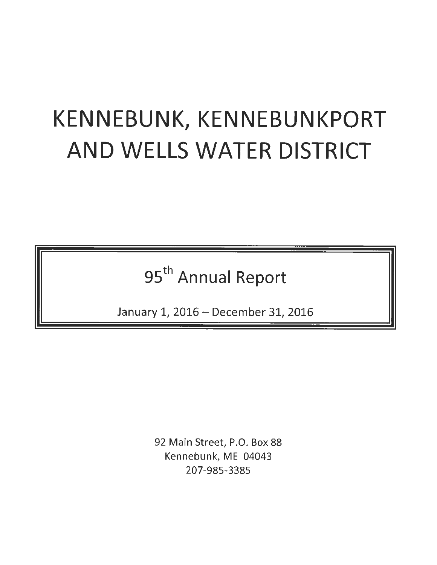# KENNEBUNK, KENNEBUNKPORT AND WELLS WATER DISTRICT

95<sup>th</sup> Annual Report

January 1, 2016 - December 31, 2016

92 Main Street, P.O. Box 88 Kennebunk, ME 04043 207-985-3385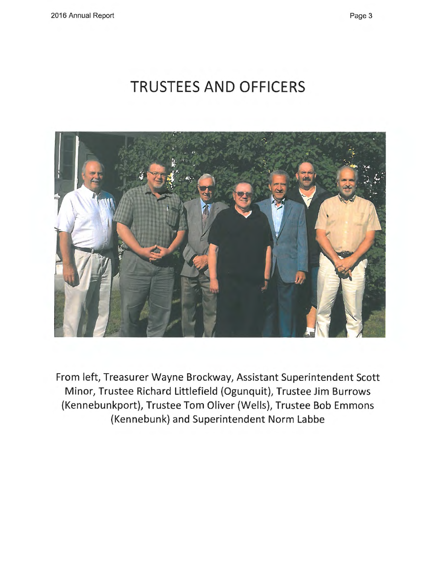# **TRUSTEES AND OFFICERS**



From left, Treasurer Wayne Brockway, Assistant Superintendent Scott Minor, Trustee Richard Littlefield (Ogunquit), Trustee Jim Burrows (Kennebunkport), Trustee Tom Oliver (Wells), Trustee Bob Emmons (Kennebunk) and Superintendent Norm Labbe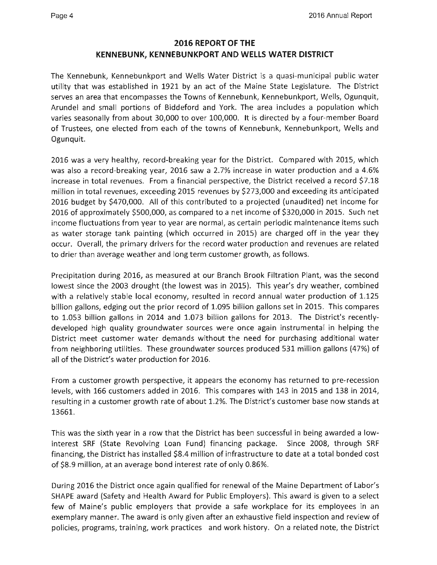### **2016 REPORT OF THE KENNEBUNK, KENNEBUNKPORT AND WELLS WATER DISTRICT**

The Kennebunk, Kennebunkport and Wells Water District is a quasi-municipal public water utility that was established in 1921 by an act of the Maine State Legislature. The District serves an area that encompasses the Towns of Kennebunk, Kennebunkport, Wells, Ogunquit, Arundel and small portions of Biddeford and York. The area includes a population which varies seasonally from about 30,000 to over 100,000. It is directed by a four-member Board of Trustees, one elected from each of the towns of Kennebunk, Kennebunkport, Wells and Ogunquit.

2016 was a very healthy, record-breaking year for the District. Compared with 2015, which was also a record-breaking year, 2016 saw a 2.7% increase in water production and a 4.6% increase in total revenues. From a financial perspective, the District received a record \$7.18 million in total revenues, exceeding 2015 revenues by \$273,000 and exceeding its anticipated 2016 budget by \$470,000. All of this contributed to a projected (unaudited) net income for 2016 of approximately \$500,000, as compared to a net income of \$320,000 in 2015. Such net income fluctuations from year to year are normal, as certain periodic maintenance items such as water storage tank painting (which occurred in 2015) are charged off in the year they occur. Overall, the primary drivers for the record water production and revenues are related to drier than average weather and long term customer growth, as follows.

Precipitation during 2016, as measured at our Branch Brook Filtration Plant, was the second lowest since the 2003 drought (the lowest was in 2015). This year's dry weather, combined with a relatively stable local economy, resulted in record annual water production of 1.125 billion gallons, edging out the prior record of 1.095 billion gallons set in 2015. This compares to 1.053 billion gallons in 2014 and 1.073 billion gallons for 2013. The District's recentlydeveloped high quality groundwater sources were once again instrumental in helping the District meet customer water demands without the need for purchasing additional water from neighboring utilities. These groundwater sources produced 531 million gallons (47%) of all of the District's water production for 2016.

From a customer growth perspective, it appears the economy has returned to pre-recession levels, with 166 customers added in 2016. This compares with 143 in 2015 and 138 in 2014, resulting in a customer growth rate of about 1.2%. The District's customer base now stands at 13661.

This was the sixth year in a row that the District has been successful in being awarded a lowinterest SRF (State Revolving Loan Fund) financing package. Since 2008, through SRF financing, the District has installed \$8.4 million of infrastructure to date at a total bonded cost of \$8.9 million, at an average bond interest rate of only 0.86%.

During 2016 the District once again qualified for renewal of the Maine Department of Labor's SHAPE award (Safety and Health Award for Public Employers). This award is given to a select few of Maine's public employers that provide a safe workplace for its employees in an exemplary manner. The award is only given after an exhaustive field inspection and review of policies, programs, training, work practices and work history. On a related note, the District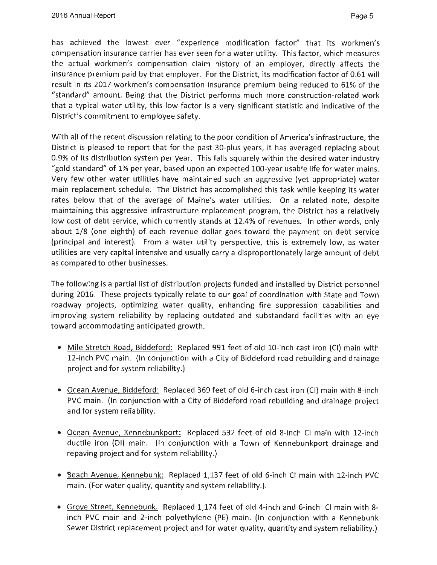has achieved the lowest ever "experience modification factor" that its workmen's compensation insurance carrier has ever seen for a water utility. This factor, which measures the actual workmen's compensation claim history of an employer, directly affects the insurance premium paid by that employer. For the District, its modification factor of 0.61 will result in its 2017 workmen's compensation insurance premium being reduced to 61% of the "standard" amount. Being that the District performs much more construction-related work that a typical water utility, this low factor is a very significant statistic and indicative of the District's commitment to employee safety.

With all of the recent discussion relating to the poor condition of America's infrastructure, the District is pleased to report that for the past 30-plus years, it has averaged replacing about 0.9% of its distribution system per year. This falls squarely within the desired water industry "gold standard" of 1% per year, based upon an expected 100-year usable life for water mains. Very few other water utilities have maintained such an aggressive (yet appropriate) water main replacement schedule. The District has accomplished this task while keeping its water rates below that of the average of Maine's water utilities. On a related note, despite maintaining this aggressive infrastructure replacement program, the District has a relatively low cost of debt service, which currently stands at 12.4% of revenues. In other words, only about 1/8 (one eighth) of each revenue dollar goes toward the payment on debt service (principal and interest). From a water utility perspective, this is extremely low, as water utilities are very capital intensive and usually carry a disproportionately large amount of debt as compared to other businesses.

The following is a partial list of distribution projects funded and installed by District personnel during 2016. These projects typically relate to our goal of coordination with State and Town roadway projects, optimizing water quality, enhancing fire suppression capabilities and improving system reliability by replacing outdated and substandard facilities with an eye toward accommodating anticipated growth.

- Mile Stretch Road, Biddeford: Replaced 991 feet of old 10-inch cast iron (Cl) main with 12-inch PVC main. (In conjunction with a City of Biddeford road rebuilding and drainage project and for system reliability.)
- Ocean Avenue, Biddeford: Replaced 369 feet of old 6-inch cast iron (CI) main with 8-inch PVC main. (In conjunction with a City of Biddeford road rebuilding and drainage project and for system reliability.
- Ocean Avenue, Kennebunkport: Replaced 532 feet of old 8-inch Cl main with 12-inch ductile iron (DI) main. (In conjunction with a Town of Kennebunkport drainage and repaving project and for system reliability.)
- Beach Avenue, Kennebunk: Replaced 1,137 feet of old 6-inch Cl main with 12-inch PVC main. (For water quality, quantity and system reliability.).
- Grove Street, Kennebunk: Replaced 1,174 feet of old 4-inch and 6-inch Cl main with 8 inch PVC main and 2-inch polyethylene (PE) main. (In conjunction with a Kennebunk Sewer District replacement project and for water quality, quantity and system reliability.)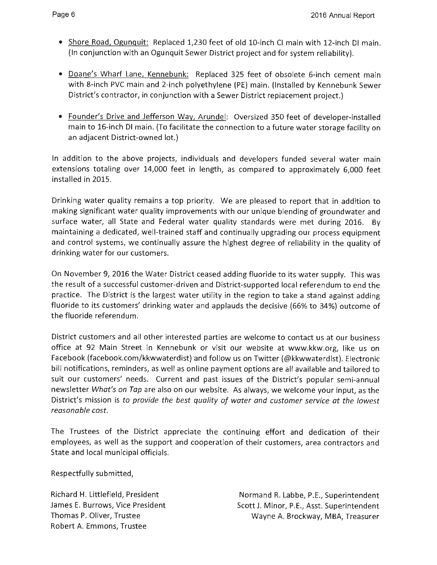- Shore Road, Ogunquit: Replaced 1,230 feet of old 10-inch CI main with 12-inch DI main. (In conjunction with an Ogunquit Sewer District project and for system reliability).
- Deane's Wharf Lane, Kennebunk: Replaced 325 feet of obsolete 6-inch cement main with 8-inch PVC main and 2-inch polyethylene (PE) main. {Installed by Kennebunk Sewer District's contractor, in conjunction with a Sewer District replacement project.)
- Founder's Drive and Jefferson Way, Arundel: Oversized 350 feet of developer-installed main to 16-inch DI main. (To facilitate the connection to a future water storage facility on an adjacent District-owned lot.)

In addition to the above projects, individuals and developers funded several water main extensions totaling over 14,000 feet in length, as compared to approximately 6,000 feet installed in 2015.

Drinking water quality remains a top priority. We are pleased to report that in addition to making significant water quality improvements with our unique blending of groundwater and surface water, all State and Federal water quality standards were met during 2016. By maintaining a dedicated, well-trained staff and continually upgrading our process equipment and control systems, we continually assure the highest degree of reliability in the quality of drinking water for our customers.

On November 9, 2016 the Water District ceased adding fluoride to its water supply. This was the result of a successful customer-driven and District-supported local referendum to end the practice. The District is the largest water utility in the region to take a stand against adding fluoride to its customers' drinking water and applauds the decisive (66% to 34%) outcome of the fluoride referendum.

District customers and all other interested parties are welcome to contact us at our business office at 92 Main Street in Kennebunk or visit our website at www.kkw.org, like us on Facebook {facebook.com/kkwwaterdist) and follow us on Twitter {@kkwwaterdist). Electronic bill notifications, reminders, as well as online payment options are all available and tailored to suit our customers' needs. Current and past issues of the District's popular semi-annual newsletter *What's on Tap* are also on our website. As always, we welcome your input, as the District's mission is *to provide the best quality of water and customer service at the lowest reasonable cost.* 

The Trustees of the District appreciate the continuing effort and dedication of their employees, as well as the support and cooperation of their customers, area contractors and State and local municipal officials.

Respectfully submitted,

Richard H. Littlefield, President James E. Burrows, Vice President Thomas P. Oliver, Trustee Robert A. Emmons, Trustee

Normand R. Labbe, P.E., Superintendent Scott J. Minor, P.E., Asst. Superintendent Wayne A. Brockway, MBA, Treasurer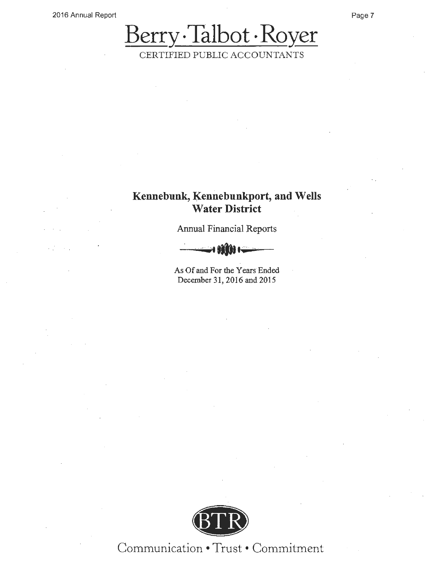### **Kennebunk, Kennebunkport, and Wells Water District**

Annual Financial Reports



As Of and For the Years Ended December 31, 2016 and 2015



Communication• - Trust • Commitment

Page 7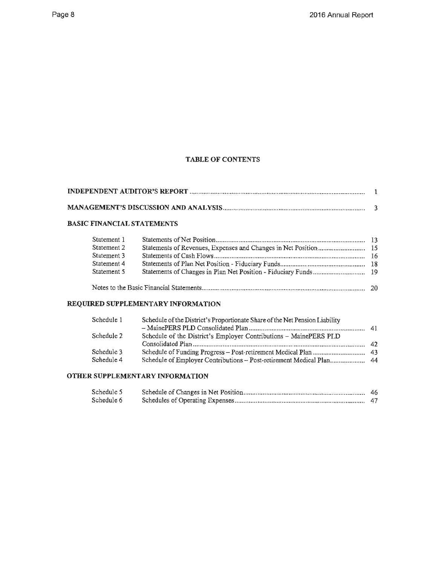### **TABLE OF CONTENTS**

### **BASIC FINANCIAL STATEMENTS**

| Statement 1 |  |
|-------------|--|
| Statement 2 |  |
| Statement 3 |  |
| Statement 4 |  |
| Statement 5 |  |
|             |  |

### **REQUIRED SUPPLEMENTARY INFORMATION**

| Schedule 1               | Schedule of the District's Proportionate Share of the Net Pension Liability |  |
|--------------------------|-----------------------------------------------------------------------------|--|
| Schedule 2               | Schedule of the District's Employer Contributions - MainePERS PLD           |  |
| Schedule 3<br>Schedule 4 | Schedule of Employer Contributions - Post-retirement Medical Plan 44        |  |

### **OTHER SUPPLEMENTARY INFORMATION**

| Schedule 5 |  |
|------------|--|
| Schedule 6 |  |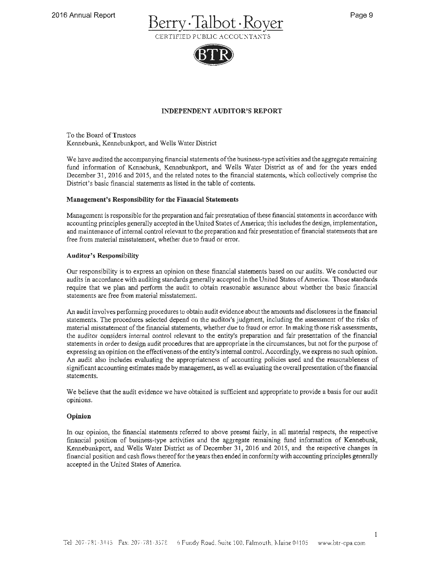



### **INDEPENDENT AUDITOR'S REPORT**

To the Board of Trustees Kennebunk, Kennebunkport, and Wells Water District

We have audited the accompanying financial statements of the business-type activities and the aggregate remaining fund information of Kennebunk, Kennebunkport, and Wells Water District as of and for the years ended December 31, 2016 and 2015, and the related notes to the financial statements, which collectively comprise the District's basic financial statements as listed in the table of contents.

#### **Management's Responsibility for the Financial Statements**

Management is responsible for the preparation and fair presentation of these financial statements in accordance with accounting principles generally accepted in the United States of America; this includes the design, implementation, and maintenance of internal control relevant to the preparation and fair presentation of financial statements that are free from material misstatement, whether due to fraud or error.

#### **Auditor's Responsibility**

Our responsibility is to express an opinion on these financial statements based on our audits. We conducted our audits in accordance with auditing standards generally accepted in the United States of America. Those standards require that we plan and perrorm the audit to obtain reasonable assurance about whether the basic financial statements are free from material misstatement.

An audit involves perrorming procedures to obtain audit evidence about the amounts and disclosures in the financial statements. The procedures selected depend on the auditor's judgment, including the assessment of the risks of material misstatement of the financial statements, whether due to fraud or error. In making those risk assessments, the auditor considers internal control relevant to the entity's preparation and fair presentation of the financial statements in order to design audit procedures that are appropriate in the circumstances, but not for the purpose of expressing an opinion on the effectiveness of the entity's internal control. Accordingly, we express no such opinion. An audit also includes evaluating the appropriateness of accounting policies used and the reasonableness of significant accounting estimates made by management, as well as evaluating the overall presentation of the financial statements.

We believe that the audit evidence we have obtained is sufficient and appropriate to provide a basis for our audit opinions.

### **Opinion**

In our opinion, the financial statements referred to above present fairly, in all material respects, the respective financial position of business-type activities and the aggregate remaining fund information of Kennebunk, Kennebunkport, and Wells Water District as of December 31, 2016 and 2015, and the respective changes in financial position and cash flows thereof for the years then ended in conformity with accounting principles generally accepted in the United States of America.

 $\,$  I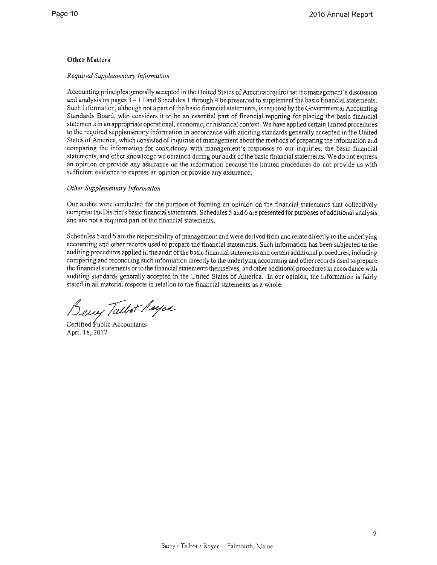### **Other Matters**

### *Required Supplementary Information*

Accounting principles generally accepted in the United States of America require that the management's discussion and analysis on pages  $3 - 11$  and Schedules 1 through 4 be presented to supplement the basic financial statements. Such information, although not a part of the basic financial statements, is required by the Governmental Accounting Standards Board, who considers it to be an essential part of financial reporting for placing the basic financial statements in an appropriate operational, economic, or historical context. We have applied certain limited procedures to the required supplementary information in accordance with auditing standards generally accepted in the United States of America, which consisted of inquiries of management about the methods of preparing the information and comparing the information for consistency with management's responses to our inquiries, the basic financial statements, and other knowledge we obtained during our audit of the basic financial statements. We do not express an opinion or provide any assurance on the information because the limited procedures do not provide us with sufficient evidence to express an opinion or provide any assurance.

### *Other Supplementary Information*

Our audits were conducted for the purpose of forming an opinion on the financial statements that collectively comprise the District's basic financial statements. Schedules 5 and 6 are presented for purposes of additional analysis and are not a required part of the financial statements.

Schedules 5 and 6 are the responsibility of management and were derived from and relate directly to the underlying accounting and other records used to prepare the financial statements. Such information has been subjected to the auditing procedures applied in the audit of the basic financial statements and certain additional procedures, including comparing and reconciling such information directly to the underlying accounting and other records used to prepare the financial statements or to the financial statements themselves, and other additional procedures in accordance with auditing standards generally accepted in the United States of America. In our opinion, the information is fairly stated in all material respects in relation to the financial statements as a whole.

Berry Talbot Royes

April 18, 2017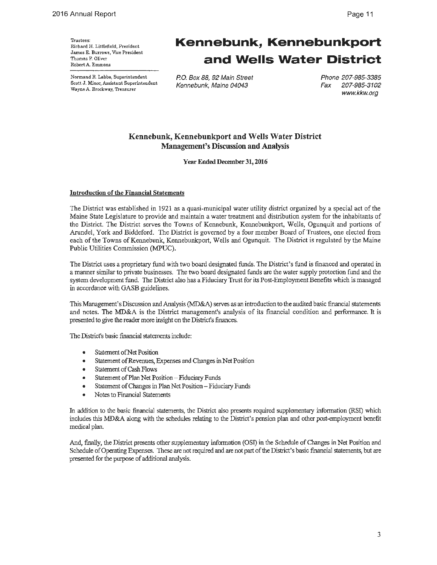Normand R. Labbe, Superintendent Scott J. Minor, Assistant Superintendent Wayne A. Brockway, Treasurer

# **Kennebunk, Kennebunkport and Wells Water District**

P.O. Box 88, 92 Main Street Kennebunk, Maine 04043

Phone 207-985-3385 Fax 207-985-3102 www.kkw.org

### **Kennebunk, Kennebunkport and Wells Water District Management's Discussion and Analysis**

**Year Ended December 31, 2016** 

### **Introduction of the Financial Statements**

The District was established in 1921 as a quasi-municipal water utility district organized by a special act of the Maine State Legislature to provide and maintain a water treatment and distribution system for the inhabitants of the District. The District serves the Towns of Kennebunk, Kennebunkport, Wells, Ogunquit and portions of Arundel, York and Biddeford. The District is governed by a four member Board of Trustees, one elected from each of the Towns of Kennebunk, Kennebunkport, Wells and Ogunquit. The District is regulated by the Maine Public Utilities Commission (MPUC).

The District uses a proprietary fund with two board designated funds. The District's fund is financed and operated in a manner similar to private businesses. The two board designated funds are the water supply protection fund and the system development fund. The District also has a Fiduciary Trust for its Post-Employment Benefits which is managed in accordance with GASB guidelines.

This Management's Discussion and Analysis (MD&A) serves as an introduction to the audited basic financial statements and notes. The MD&A is the District management's analysis of its financial condition and performance. It is presented to give the reader more insight on the District's finances.

The District's basic financial statements include:

- Statement of Net Position
- Statement of Revenues, Expenses and Changes in Net Position
- Statement of Cash Flows
- Statement of Plan Net Position Fiduciary Funds
- Statement of Changes in Plan Net Position Fiduciary Funds
- Notes to Financial Statements

In addition to the basic financial statements, the District also presents required supplementary information (RSI) which includes this MD&A along with the schedules relating to the District's pension plan and other post-employment benefit medical plan.

And, finally, the District presents other supplementary information (OSI) in the Schedule of Changes in Net Position and Schedule of Operating Expenses. These are not required and are not part of the District's basic financial statements, but are presented for the purpose of additional analysis.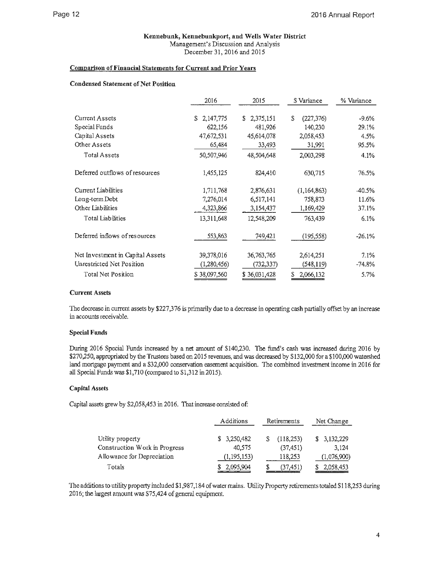### **Kennebunk, Kennebunkport, and Wells Water District**

Management's Discussion and Analysis December 31, 2016 and 2015

### **Comnarison of Financial Statements for Current and Prior Years**

### **Condensed Statement of Net Position**

|                                  | 2016            | 2015            | S Variance      | % Variance |
|----------------------------------|-----------------|-----------------|-----------------|------------|
|                                  |                 |                 |                 |            |
| Current Assets                   | 2,147,775<br>S. | 2,375,151<br>S. | S<br>(227, 376) | $-9.6%$    |
| Special Funds                    | 622,156         | 481,926         | 140,230         | 29.1%      |
| Capital Assets                   | 47,672,531      | 45,614,078      | 2,058,453       | 4.5%       |
| Other Assets                     | 65,484          | 33,493          | 31,991          | 95.5%      |
| <b>Total Assets</b>              | 50,507,946      | 48,504,648      | 2,003,298       | 4.1%       |
| Deferred outflows of resources   | 1,455,125       | 824,410         | 630,715         | 76.5%      |
| Current Liabilities              | 1,711,768       | 2,876,631       | (1,164,863)     | $-40.5%$   |
| Long-term Debt                   | 7,276,014       | 6,517,141       | 758,873         | 11.6%      |
| Other Liabilities                | 4,323,866       | 3,154,437       | 1,169,429       | 37.1%      |
| <b>Total Liabilities</b>         | 13,311,648      | 12,548,209      | 763,439         | 6.1%       |
| Deferred inflows of resources    | 553,863         | 749,421         | (195, 558)      | $-26.1%$   |
| Net Investment in Capital Assets | 39,378,016      | 36,763,765      | 2,614,251       | 7.1%       |
| Unrestricted Net Position        | (1,280,456)     | (732,337)       | (548, 119)      | $-74.8%$   |
| Total Net Position               | \$38,097,560    | \$36,031,428    | 2,066,132       | 5.7%       |

### **Current Assets**

The decrease in current assets by \$227,376 is primarily due to a decrease in operating cash partially offset by an increase in accounts receivable.

### **Special Funds**

During 2016 Special Funds increased by a net amount of \$140,230. The fund's cash was increased during 2016 by \$270,250, appropriated by the Trustees based on 2015 revenues, and was decreased by \$132,000 for a \$100,000 watershed land mortgage payment and a \$32,000 conservation easement acquisition. The combined investment income in 2016 for all Special Funds was \$1,710 (compared to \$1,312 in 2015).

### **Capital Assets**

Capital assets grew by \$2,058,453 in 2016. That increase consisted of:

|                               | Additions     | Retirements | Net Change  |  |
|-------------------------------|---------------|-------------|-------------|--|
| Utility property              | \$3,250,482   | (118, 253)  | \$3,132,229 |  |
| Construction Work in Progress | 40,575        | (37, 451)   | 3.124       |  |
| Allowance for Depreciation    | (1, 195, 153) | 118,253     | (1,076,900) |  |
| Totals                        | \$2,095,904   | (37, 451)   | 2,058,453   |  |

The additions to utility property included \$1,987,184 of water mains. Utility Property retirements totaled \$1 18,253 during 2016; the largest amount was \$75,424 of general equipment.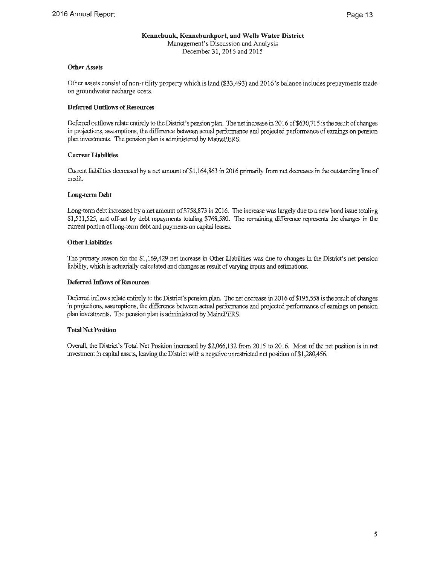### **Other Assets**

Other assets consist of non-utility property which is land (\$33,493) and 2016's balance includes prepayments made on groundwater recharge costs.

### **Deferred Outflows of Resources**

Deferred outflows relate entirely to the District's pension plan. The net increase in 2016 of \$630,715 is the result of changes in projections, assumptions, the difference between actual perfonnance and projected performance of earnings on pension plan investments. The pension plan is administered by MainePERS.

### **Current Liabilities**

Current liabilities decreased by a net amount of\$1,164,863 in 2016 primarily from net decreases in the outstanding line of credit.

### **Long-term Debt**

Long-term debt increased by a net amount of \$758,873 in 2016. The increase was largely due to a new bond issue totaling \$1,511,525, and off-set by debt repayments totaling \$768,580. The remaining difference represents the changes in the current portion oflong-term debt and payments on capital leases.

### **Other Liabilities**

The primary reason for the \$1,169,429 net increase in Other Liabilities was due to changes in the District's net pension liability, which is actuarially calculated and changes as result of varying inputs and estimations.

### **Deferred Inflows of Resources**

Deferred inflows relate entirely to the District's pension plan. The net decrease in 2016 of \$195,558 is the result of changes in projections, assumptions, the difference between actual performance and projected performance of earnings on pension plan investments. The pension plan is administered by MainePERS.

### **Total Net Position**

Overall, the District's Total Net Position increased by \$2,066,132 from 2015 to 2016. Most of the net position is in net investment in capital assets, leaving the District with a negative unrestricted net position of\$1,280,456.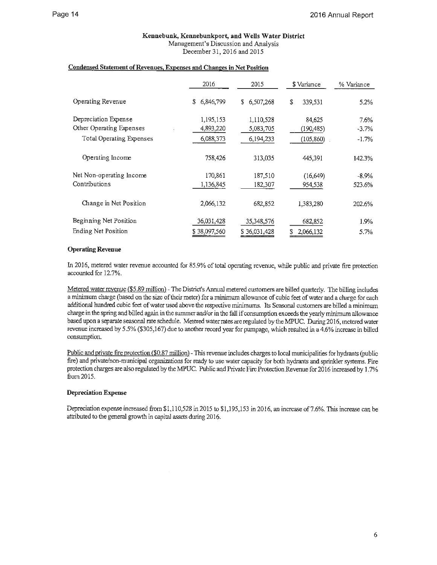### **Kennebunk, Kennebunkport, and Wells Water District**  Management's Discussion and Analysis

December 31, 2016 and 2015

### **Condensed Statement of Revenues, Expenses and Changes** in **Net Position**

|                          | 2016            | 2015         | \$ Variance   | % Variance |
|--------------------------|-----------------|--------------|---------------|------------|
| Operating Revenue        | 6,846,799<br>\$ | \$6,507,268  | \$<br>339,531 | 5.2%       |
| Depreciation Expense     | 1,195,153       | 1,110,528    | 84,625        | 7.6%       |
| Other Operating Expenses | 4,893,220       | 5,083,705    | (190,485)     | $-3.7%$    |
| Total Operating Expenses | 6,088,373       | 6,194,233    | (105, 860)    | $-1.7%$    |
| Operating Income         | 758,426         | 313,035      | 445,391       | 142.3%     |
| Net Non-operating Income | 170,861         | 187,510      | (16, 649)     | $-8.9\%$   |
| Contributions            | 1,136,845       | 182,307      | 954,538       | 523.6%     |
| Change in Net Position   | 2,066,132       | 682.852      | 1,383,280     | 202.6%     |
| Beginning Net Position   | 36,031,428      | 35,348,576   | 682,852       | 1.9%       |
| Ending Net Position      | \$38,097,560    | \$36,031,428 | 2,066,132     | 5.7%       |

### **Operating Revenue**

In 2016, metered water revenue accounted for 85.9% of total operating revenue, while public and private fire protection accounted for 12.7%.

Metered water revenue (\$5.89 million) - The District's Annual metered customers are billed quarterly. The billing includes a minimum charge (based on the size of their meter) for a minimum allowance of cubic feet of water and a charge for each additional hundred cubic feet of water used above the respective minimums. Its Seasonal customers are billed a minimum charge in the spring and billed again in the summer and/or in the fall if consumption exceeds the yearly minimum allowance based upon a separate seasonal rate schedule. Metered water rates are regulated by the MPUC. During 2016, metered water revenue increased by 5 .5% (\$305,167) due to another record year for pumpage, which resulted in a 4.6% increase in billed consumption.

Public and private fire protection (\$0.87 million) -This revenue includes charges to local municipalities for hydrants (public fire) and private/non-municipal organizations for ready to use water capacity for both hydrants and sprinkler systems. Fire protection charges are also regulated by the MPUC. Public and Private Fire Protection Revenue for 2016 increased by 1.7% from 2015.

### **Depreciation Expense**

Depreciation expense increased from \$1,110,528 in 2015 to \$1,195,153 in 2016, an increase of 7.6%. This increase can be attributed to the general growth in capital assets during 2016.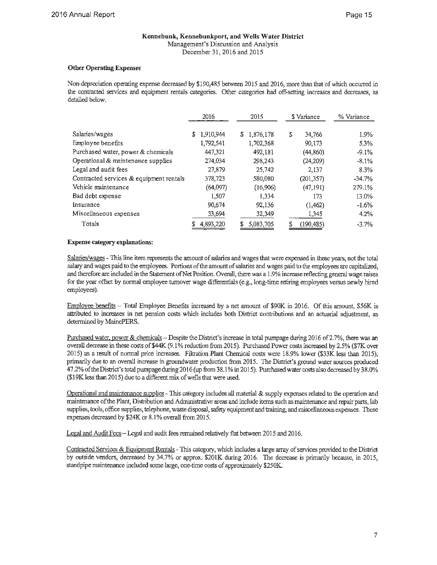### **Kennebunk, Kennebunkport, and Wells Water District**  Management's Discussion and Analysis

December 31, 2016 and 2015

### **Other Operating Expenses**

Non-depreciation operating expense decreased by \$190,485 between 2015 and 2016, more than that of which occurred in the contracted services and equipment rentals categories. Other categories had off-setting increases and decreases, as detailed below.

|                                         | 2016      |    | 2015      |    | \$ Variance | % Variance |
|-----------------------------------------|-----------|----|-----------|----|-------------|------------|
| Salaries/wages                          | 1,910,944 | S. | 1,876,178 | \$ | 34,766      | 1.9%       |
| Employee benefits                       | 1,792,541 |    | 1,702,368 |    | 90.173      | 5.3%       |
| Purchased water, power & chemicals      | 447,321   |    | 492,181   |    | (44, 860)   | $-9.1\%$   |
| Operational & maintenance supplies      | 274,034   |    | 298,243   |    | (24, 209)   | $-8.1\%$   |
| Legal and audit fees                    | 27,879    |    | 25.742    |    | 2.137       | 8.3%       |
| Contracted services & equipment rentals | 378,723   |    | 580,080   |    | (201, 357)  | -34.7%     |
| Vehicle maintenance                     | (64.097)  |    | (16,906)  |    | (47, 191)   | 279.1%     |
| Bad debt expense                        | 1,507     |    | 1.334     |    | 173         | 13.0%      |
| Insurance                               | 90,674    |    | 92,136    |    | (1, 462)    | $-1.6%$    |
| Miscellaneous expenses                  | 33,694    |    | 32,349    |    | 1,345       | $4.2\%$    |
| Totals                                  | 4,893,220 |    | 5,083,705 | S  | (190, 485)  | $-3.7%$    |

### **Expense category explanations:**

Salaries/wages - This line item represents the amount of salaries and wages that were expensed in these years, not the total salary and wages paid to the employees. Portions of the amount of salaries and wages paid to the employees are capitalized, and therefore are included in the Statement of Net Position. Overall, there was a 1.9% increase reflecting general wage raises for the year offset by normal employee turnover wage differentials ( e.g., long-time retiring employees versus newly hired employees).

Employee benefits - Total Employee Benefits increased by a net amount of \$90K in 2016. Of this amount, \$56K is attributed to increases in net pension costs which includes both District contributions and an actuarial adjustment, as determined by MainePERS.

Purchased water, power & chemicals - Despite the District's increase in total pumpage during 2016 of 2.7%, there was an overall decrease in these costs of **\$44K** (9 .1 % reduction from 2015). Purchased Power costs increased by 2.5% (\$7K over 2015) as a result of normal price increases. Filtration Plant Chemical costs were 18.9% lower (\$33K less than 2015), primarily due to an overall increase in groundwater production from 2015. The District's ground water sources produced 47.2% of the District's total pumpage during 2016 (up from 38.1% in 2015). Purchased water costs also decreased by 38.0% (\$19K less than 2015) due to a different mix of wells that were used.

Operational and maintenance supplies - This category includes all material & supply expenses related to the operation and maintenance of the Plant, Distribution and Administrative areas and include items such as maintenance and repair parts, lab supplies, tools, office supplies, telephone, waste disposal, safety equipment and training, and miscellaneous expenses. These expenses decreased by \$24K or 8.1 % overall from 2015.

Legal and Audit Fees - Legal and audit fees remained relatively flat between 2015 and 2016.

Contracted Services & Equipment Rentals - This category, which includes a large array of services provided to the District by outside vendors, decreased by 34.7% or approx. \$201K during 2016. The decrease is primarily because, in 2015, standpipe maintenance included some large, one-time costs of approximately \$250K.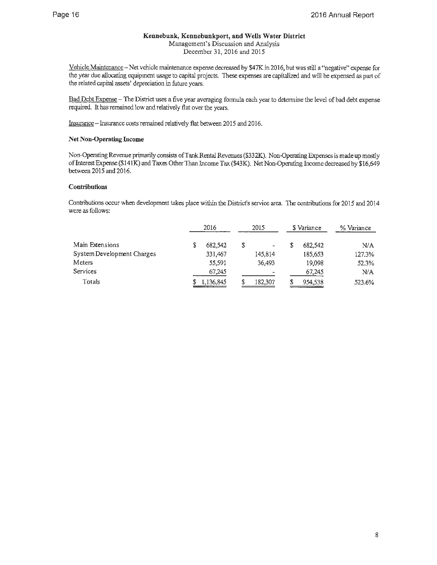### **Kennebunk, Kennebunkport, and Wells Water District**

Management's Discussion and Analysis December 31, 2016 and 2015

Vehicle Maintenance- Net vehicle maintenance expense decreased by \$47K in 2016, but was still a "negative" expense for the year due allocating equipment usage to capital projects. These expenses are capitalized and will be expensed as part of the related capital assets' depreciation in future years.

Bad Debt Expense - The District uses a five year averaging formula each year to determine the level of bad debt expense required. It has remained low and relatively flat over the years.

Insurance- Insurance costs remained relatively flat between 2015 and 2016.

### **Net Non-Operating Income**

Non-Operating Revenue primarily consists ofTank Rental Revenues (\$332K). Non-Operating Expenses is made up mostly of Interest Expense (\$14 lK) and Taxes Other Than Income Tax (\$43K). Net Non-Operating Income decreased by \$16,649 between 2015 and 2016.

### **Contributions**

Contributions occur when development takes place within the District's service area. The contributions for 2015 and 2014 were as follows:

|                            |   | 2016      |   | 2015                         |   | \$ Variance | % Variance |
|----------------------------|---|-----------|---|------------------------------|---|-------------|------------|
| Main Extensions            | S | 682.542   | S | $\qquad \qquad \blacksquare$ | S | 682.542     | N/A        |
| System Development Charges |   | 331,467   |   | 145.814                      |   | 185.653     | 127.3%     |
| Meters                     |   | 55,591    |   | 36.493                       |   | 19,098      | 52.3%      |
| Services                   |   | 67,245    |   | $\overline{\phantom{0}}$     |   | 67,245      | N/A        |
| Totals                     |   | 1.136,845 |   | 182,307                      | S | 954,538     | 523.6%     |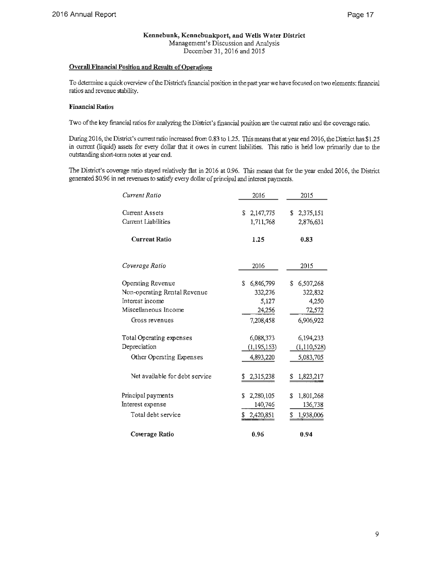### **Overall Financial Position and Results of Operations**

To determine a quick overview of the District's financial position in the past year we have focused on two elements: financial ratios and revenue stability.

### **Financial Ratios**

Two of the key financial ratios for analyzing the District's financial position are the current ratio and the coverage ratio.

During 2016, the District's current ratio increased from 0.83 to 1.25. This means that at year end 2016, the District has \$1.25 in current (liquid) assets for every dollar that it owes in current liabilities. This ratio is held low primarily due to the outstanding short-term notes at year end.

The District's coverage ratio stayed relatively flat in 2016 at 0.96. This means that for the year ended 2016, the District generated \$0.96 in net revenues to satisfy every dollar of principal and interest payments.

| Current Ratio                  | 2016            | 2015            |
|--------------------------------|-----------------|-----------------|
|                                |                 |                 |
| Current Assets                 | \$2,147,775     | \$2,375,151     |
| Current Liabilities            | 1,711,768       | 2,876,631       |
| <b>Current Ratio</b>           | 1.25            | 0.83            |
| Coverage Ratio                 | 2016            | 2015            |
| Operating Revenue              | 6,846,799<br>S. | 6,507,268<br>\$ |
| Non-operating Rental Revenue   | 332,276         | 322,832         |
| Interest income                | 5,127           | 4,250           |
| Miscellaneous Income           | 24,256          | 72,572          |
| Gross revenues                 | 7,208,458       | 6,906,922       |
| Total Operating expenses       | 6,088,373       | 6,194,233       |
| Depreciation                   | (1, 195, 153)   | (1,110,528)     |
| Other Operating Expenses       | 4,893,220       | 5,083,705       |
| Net available for debt service | 2,315,238       | 1,823,217       |
| Principal payments             | 2,280,105<br>S  | 1,801,268<br>S  |
| Interest expense               | 140,746         | 136,738         |
| Total debt service             | 2,420,851<br>\$ | 1,938,006<br>\$ |
| Coverage Ratio                 | 0.96            | 0.94            |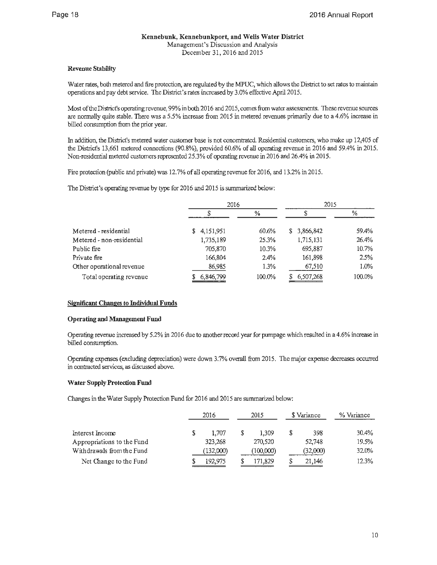### **Revenue Stability**

Water rates, both metered and fire protection, are regulated by the MPUC, which allows the District to set rates to maintain operations and pay debt service. The District's rates increased by 3 .0% effective April 2015.

Most of the District's operating revenue, 99% in both 2016 and 2015, comes from water assessments. These revenue sources are normally quite stable. There was a 5.5% increase from 2015 in metered revenues primarily due to a 4.6% increase in billed consumption from the prior year.

In addition, the District's metered water customer base is not concentrated. Residential customers, who make up 12,405 of the District's 13,661 metered connections (90.8%), provided 60.6% of all operating revenue in 2016 and 59.4% in 2015. Non-residential metered customers represented 25.3% of operating revenue in 2016 and 26.4% in 2015.

Fire protection (public and private) was 12.7% of all operating revenue for 2016, and 13.2% in 2015.

The District's operating revenue by type for 2016 and 2015 is summarized below:

|                           | 2016            |        | 2015        |         |  |
|---------------------------|-----------------|--------|-------------|---------|--|
|                           |                 | $\%$   |             | ℅       |  |
| Metered - residential     | 4,151,951<br>S. | 60.6%  | \$3,866,842 | 59.4%   |  |
| Metered - non-residential | 1,735,189       | 25.3%  | 1,715,131   | 26.4%   |  |
| Public fire               | 705,870         | 10.3%  | 695,887     | 10.7%   |  |
| Private fire              | 166,804         | 2.4%   | 161,898     | 2.5%    |  |
| Other operational revenue | 86,985          | 1.3%   | 67,510      | $1.0\%$ |  |
| Total operating revenue   | 6,846,799       | 100.0% | 6,507,268   | 100.0%  |  |

### **Significant Changes to Individual Funds**

### **Operating and Management Fund**

Operating revenue increased by 5.2% in 2016 due to another record year for pumpage which resulted in a 4 .6% increase in billed consumption.

Operating expenses (excluding depreciation) were down 3.7% overall from 2015. The major expense decreases occurred in contracted services, as discussed above.

### **Water Supply Protection Fund**

Changes in the Water Supply Protection Fund for 2016 and 2015 are summarized below:

|                            |   | 2016      | 2015      | \$ Variance | % Variance |
|----------------------------|---|-----------|-----------|-------------|------------|
| Interest Income            | S | 1.707     | 1,309     | \$<br>398   | 30.4%      |
| Appropriations to the Fund |   | 323,268   | 270,520   | 52,748      | 19.5%      |
| Withdrawals from the Fund  |   | (132,000) | (100,000) | (32,000)    | 32.0%      |
| Net Change to the Fund     |   | 192,975   | 171,829   | 21,146      | 12.3%      |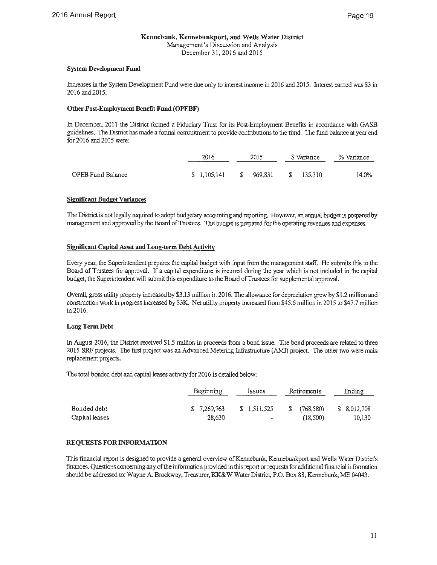### **System Development Fund**

Increases in the System Development Fund were due only to interest income in 2016 and 2015. Interest earned was \$3 in 2016 and 2015.

### **Other Post-Employment Benefit Fund (OPEBF)**

In December, 2011 the District fonned a Fiduciary Trust for its Post-Employment Benefits in accordance with GASB guidelines. The District has made a fonnal commitment to provide contributions to the fund. The fund balance at year end for 2016 and 2015 were:

|                   | 2016                               | 2015 |  |  |       | S Variance | % Variance |
|-------------------|------------------------------------|------|--|--|-------|------------|------------|
| OPEB Fund Balance | $$1,105,141$ $$969,831$ $$135,310$ |      |  |  | 14.0% |            |            |

### **Si2nificant Budget Variances**

The District is not legally required to adopt budgetary accounting and reporting. However, an annual budget is prepared by management and approved by the Board of Trustees. The budget is prepared for the operating revenues and expenses.

### **Significant Capital Asset and Long-term Debt Activity**

Every year, the Superintendent prepares the capital budget with input from the management staff. He submits this to the Board of Trustees for approval. If a capital expenditure is incurred during the year which is not included in the capital budget, the Superintendent will submit this expenditure to the Board of Trustees for supplemental approval.

Overall, gross utility property increased by \$3.13 million in 2016. The allowance for depreciation grew by \$1.2 million and construction work in progress increased by \$3K Net utility property increased from \$45.6 million in 2015 to \$47.7 million in 2016.

### **Long Term Debt**

In August 2016, the District received \$1.5 million in proceeds from a bond issue. The bond proceeds are related to three 2015 SRF projects. The first project was an Advanced Metering Infrastructure (AMl) project. The other two were main replacement projects.

The total bonded debt and capital leases activity for 2016 is detailed below:

|                | Beginning   | Issues       | Retirements     | Ending       |
|----------------|-------------|--------------|-----------------|--------------|
| Bonded debt    | \$7,269,763 | \$ 1,511,525 | (768.580)<br>S. | \$ 8.012.708 |
| Capital leases | 28,630      |              | (18.500)        | 10,130       |

### **REQUESTS FOR INFORMATION**

This financial report is designed to provide a general overview of Kennebunk, Kennebunkport and Wells Water District's finances. Questions concerning any of the information provided in this report or requests for additional financial infonnation should be addressed to: Wayne A. Brockway, Treasurer, KK&W Water District, P.O. Box 88, Kennebunk, ME 04043.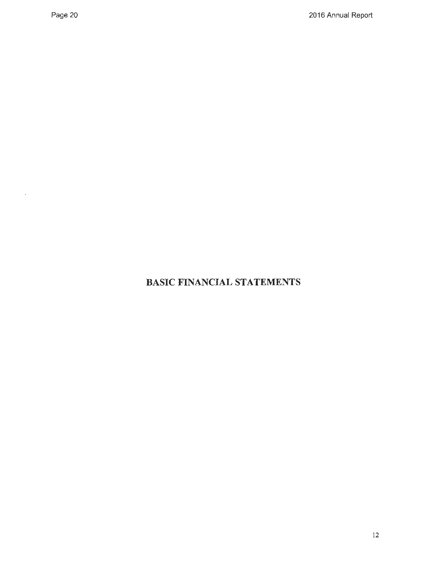$\sim 10^{11}$ 

# **BASIC FINANCIAL STATEMENTS**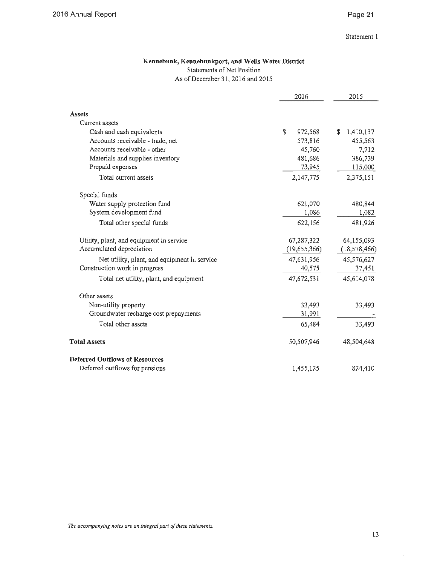### Page 21

### **Kennebunk, Kennebunkport, and Wells Water District**

### Statements of Net Position

As of December 31, 2016 and 2015

|                                              | 2016          | 2015            |  |
|----------------------------------------------|---------------|-----------------|--|
| <b>Assets</b>                                |               |                 |  |
| Current assets                               |               |                 |  |
| Cash and cash equivalents                    | \$<br>972,568 | S.<br>1,410,137 |  |
| Accounts receivable - trade, net             | 573,816       | 455,563         |  |
| Accounts receivable - other                  | 45,760        | 7,712           |  |
| Materials and supplies inventory             | 481,686       | 386,739         |  |
| Prepaid expenses                             | 73,945        | 115,000         |  |
| Total current assets                         | 2,147,775     | 2,375,151       |  |
| Special funds                                |               |                 |  |
| Water supply protection fund                 | 621,070       | 480,844         |  |
| System development fund                      | 1,086         | 1,082           |  |
| Total other special funds                    | 622,156       | 481,926         |  |
| Utility, plant, and equipment in service     | 67,287,322    | 64,155,093      |  |
| Accumulated depreciation                     | (19,655,366)  | (18, 578, 466)  |  |
| Net utility, plant, and equipment in service | 47,631,956    | 45,576,627      |  |
| Construction work in progress                | 40,575        | 37,451          |  |
| Total net utility, plant, and equipment      | 47,672,531    | 45,614,078      |  |
| Other assets                                 |               |                 |  |
| Non-utility property                         | 33,493        | 33,493          |  |
| Groundwater recharge cost prepayments        | 31,991        |                 |  |
| Total other assets                           | 65,484        | 33,493          |  |
| <b>Total Assets</b>                          | 50,507,946    | 48,504,648      |  |
| <b>Deferred Outflows of Resources</b>        |               |                 |  |
| Deferred outflows for pensions               | 1,455,125     | 824,410         |  |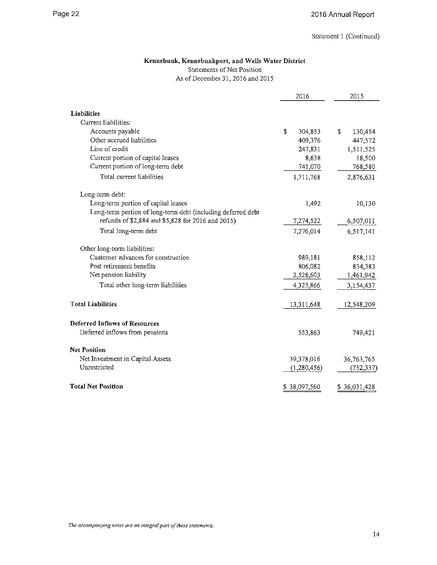### **Kennebunk, Kennebunkport, and Wells Water District**  Statements of Net Position

As of December 31, 2016 and 2015

|                                                              | 2016          |    | 2015         |
|--------------------------------------------------------------|---------------|----|--------------|
| <b>Liabilities</b>                                           |               |    |              |
| Current liabilities:                                         |               |    |              |
| Accounts payable                                             | \$<br>304,853 | \$ | 130,454      |
| Other accrued liabilities                                    | 409,376       |    | 447,572      |
| Line of credit                                               | 247,831       |    | 1,511,525    |
| Current portion of capital leases                            | 8,638         |    | 18,500       |
| Current portion of long-term debt                            | 741,070       |    | 768,580      |
| Total current liabilities                                    | 1,711,768     |    | 2,876,631    |
| Long-term debt:                                              |               |    |              |
| Long-term portion of capital leases                          | 1,492         |    | 10,130       |
| Long-term portion of long-term debt (including deferred debt |               |    |              |
| refunds of \$2,884 and \$5,828 for 2016 and 2015)            | 7,274,522     |    | 6,507,011    |
| Total long-term debt                                         | 7,276,014     |    | 6,517,141    |
| Other long-term liabilities:                                 |               |    |              |
| Customer advances for construction                           | 989,181       |    | 858,112      |
| Post retirement benefits                                     | 806,082       |    | 834,383      |
| Net pension liability                                        | 2,528,603     |    | 1,461,942    |
| Total other long-term liabilities                            | 4,323,866     |    | 3,154,437    |
| <b>Total Liabilities</b>                                     | 13,311,648    |    | 12,548,209   |
| <b>Deferred Inflows of Resources</b>                         |               |    |              |
| Deferred inflows from pensions                               | 553,863       |    | 749,421      |
| <b>Net Position</b>                                          |               |    |              |
| Net Investment in Capital Assets                             | 39,378,016    |    | 36,763,765   |
| Unrestricted                                                 | (1,280,456)   |    | (732, 337)   |
| <b>Total Net Position</b>                                    | \$38,097,560  |    | \$36,031,428 |

*The accompanying notes are an integral part of these statements.*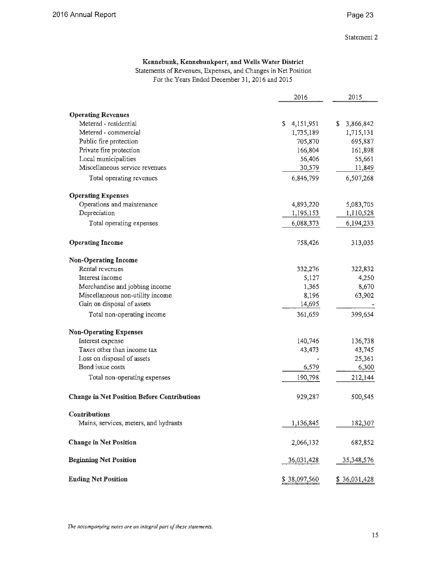### Statement 2

### **Kennebunk, Kennebunkport, and Wells Water District**

Statements of Revenues, Expenses, and Changes in Net Position For the Years Ended December 31, 2016 and 2015

|                                                    | 2016            | 2015            |
|----------------------------------------------------|-----------------|-----------------|
|                                                    |                 |                 |
| <b>Operating Revenues</b>                          |                 |                 |
| Metered - residential                              | 4,151,951<br>S. | 3,866,842<br>\$ |
| Metered - commercial                               | 1,735,189       | 1,715,131       |
| Public fire protection                             | 705,870         | 695,887         |
| Private fire protection                            | 166,804         | 161,898         |
| Local municipalities                               | 56,406          | 55,661          |
| Miscellaneous service revenues                     | 30,579          | 11,849          |
| Total operating revenues                           | 6,846,799       | 6,507,268       |
| <b>Operating Expenses</b>                          |                 |                 |
| Operations and maintenance                         | 4,893,220       | 5,083,705       |
| Depreciation                                       | 1,195,153       | 1,110,528       |
| Total operating expenses                           | 6,088,373       | 6,194,233       |
| <b>Operating Income</b>                            | 758,426         | 313,035         |
| <b>Non-Operating Income</b>                        |                 |                 |
| Rental revenues                                    | 332,276         | 322,832         |
| Interest income                                    | 5,127           | 4,250           |
| Merchandise and jobbing income                     | 1,365           | 8,670           |
| Miscellaneous non-utility income                   | 8,196           | 63,902          |
| Gain on disposal of assets                         | 14,695          |                 |
| Total non-operating income                         | 361,659         | 399,654         |
| <b>Non-Operating Expenses</b>                      |                 |                 |
| Interest expense                                   | 140,746         | 136,738         |
| Taxes other than income tax                        | 43,473          | 43,745          |
| Loss on disposal of assets                         |                 | 25,361          |
| Bond issue costs                                   | 6,579           | 6,300           |
| Total non-operating expenses                       | 190,798         | 212,144         |
| <b>Change in Net Position Before Contributions</b> | 929,287         | 500,545         |
| <b>Contributions</b>                               |                 |                 |
| Mains, services, meters, and hydrants              | 1,136,845       | 182,307         |
| <b>Change in Net Position</b>                      | 2,066,132       | 682,852         |
| <b>Beginning Net Position</b>                      | 36,031,428      | 35,348,576      |
| <b>Ending Net Position</b>                         | \$38,097,560    | \$36,031,428    |

*The accompanying notes are an integral part of these statements.*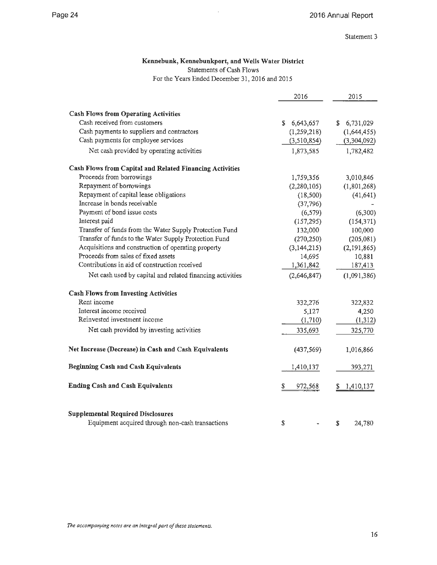Statement 3

### **Kennebunk, Kennebunkport, and Wells Water District**  Statements of Cash Flows

For the Years Ended December 31, 2016 and 2015

|                                                                             | 2016            | 2015            |
|-----------------------------------------------------------------------------|-----------------|-----------------|
|                                                                             |                 |                 |
| <b>Cash Flows from Operating Activities</b><br>Cash received from customers |                 |                 |
| Cash payments to suppliers and contractors                                  | 6,643,657<br>S. | 6,731,029<br>\$ |
| Cash payments for employee services                                         | (1,259,218)     | (1,644,455)     |
|                                                                             | (3, 510, 854)   | (3,304,092)     |
| Net cash provided by operating activities                                   | 1,873,585       | 1,782,482       |
| Cash Flows from Capital and Related Financing Activities                    |                 |                 |
| Proceeds from borrowings                                                    | 1,759,356       | 3,010,846       |
| Repayment of borrowings                                                     | (2,280,105)     | (1,801,268)     |
| Repayment of capital lease obligations                                      | (18,500)        | (41, 641)       |
| Increase in bonds receivable                                                | (37,796)        |                 |
| Payment of bond issue costs                                                 | (6, 579)        | (6,300)         |
| Interest paid                                                               | (157, 295)      | (154, 371)      |
| Transfer of funds from the Water Supply Protection Fund                     | 132,000         | 100,000         |
| Transfer of funds to the Water Supply Protection Fund                       | (270, 250)      | (205, 081)      |
| Acquisitions and construction of operating property                         | (3,144,215)     | (2, 191, 865)   |
| Proceeds from sales of fixed assets                                         | 14,695          | 10,881          |
| Contributions in aid of construction received                               | 1,361,842       | 187,413         |
| Net cash used by capital and related financing activities                   | (2,646,847)     | (1,091,386)     |
| <b>Cash Flows from Investing Activities</b>                                 |                 |                 |
| Rent income                                                                 | 332,276         | 322,832         |
| Interest income received                                                    | 5,127           | 4,250           |
| Reinvested investment income                                                | (1,710)         | (1,312)         |
| Net cash provided by investing activities                                   | 335,693         | 325,770         |
|                                                                             |                 |                 |
| Net Increase (Decrease) in Cash and Cash Equivalents                        | (437, 569)      | 1,016,866       |
| <b>Beginning Cash and Cash Equivalents</b>                                  | 1,410,137       | 393,271         |
| <b>Ending Cash and Cash Equivalents</b>                                     | S<br>972,568    | 1,410,137       |
| <b>Supplemental Required Disclosures</b>                                    |                 |                 |
| Equipment acquired through non-cash transactions                            | \$              | \$<br>24,780    |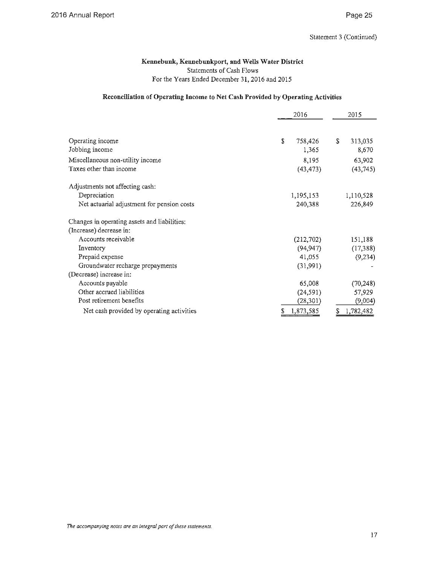### **Kennebunk, Kennebunkport, and Wells Water District**  Statements of Cash Flows For the Years Ended December 31, 2016 and 2015

### **Reconciliation of Operating Income to Net Cash Provided by Operating Activities**

|                                              |   | 2016      |   | 2015      |  |
|----------------------------------------------|---|-----------|---|-----------|--|
|                                              |   |           |   |           |  |
| Operating income                             | S | 758,426   | S | 313,035   |  |
| Jobbing income                               |   | 1,365     |   | 8,670     |  |
| Miscellaneous non-utility income             |   | 8,195     |   | 63,902    |  |
| Taxes other than income                      |   | (43, 473) |   | (43,745)  |  |
| Adjustments not affecting cash:              |   |           |   |           |  |
| Depreciation                                 |   | 1,195,153 |   | 1,110,528 |  |
| Net actuarial adjustment for pension costs   |   | 240,388   |   | 226,849   |  |
| Changes in operating assets and liabilities: |   |           |   |           |  |
| (Increase) decrease in:                      |   |           |   |           |  |
| Accounts receivable                          |   | (212,702) |   | 151,188   |  |
| Inventory                                    |   | (94, 947) |   | (17,388)  |  |
| Prepaid expense                              |   | 41,055    |   | (9, 234)  |  |
| Groundwater recharge prepayments             |   | (31,991)  |   |           |  |
| (Decrease) increase in:                      |   |           |   |           |  |
| Accounts payable                             |   | 65,008    |   | (70, 248) |  |
| Other accrued liabilities                    |   | (24, 591) |   | 57,929    |  |
| Post retirement benefits                     |   | (28, 301) |   | (9,004)   |  |
| Net cash provided by operating activities    | S | 1,873,585 | S | 1,782,482 |  |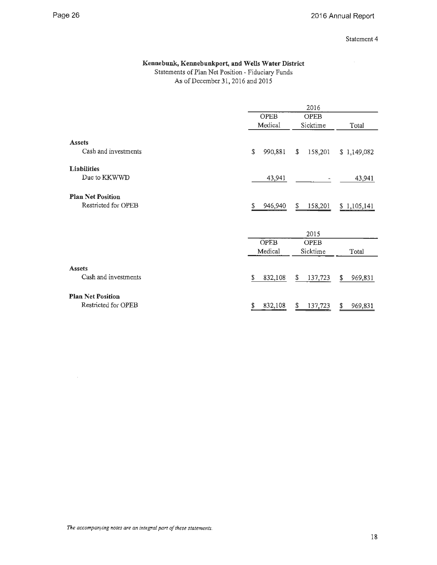$\hat{\boldsymbol{\beta}}$ 

Statement 4

### **Kennebunk, Kennebunkport, and Wells Water District**

Statements of Plan Net Position - Fiduciary Funds As of December 31, 2016 and 2015

|                          | 2016          |               |               |  |  |
|--------------------------|---------------|---------------|---------------|--|--|
|                          | <b>OPEB</b>   | <b>OPEB</b>   |               |  |  |
|                          | Medical       | Sicktime      | Total         |  |  |
| <b>Assets</b>            |               |               |               |  |  |
| Cash and investments     | \$<br>990,881 | 158,201<br>\$ | \$1,149,082   |  |  |
| Liabilities              |               |               |               |  |  |
| Due to KKWWD             | 43,941        |               | 43,941        |  |  |
| <b>Plan Net Position</b> |               |               |               |  |  |
| Restricted for OPEB      | S<br>946,940  | \$<br>158,201 | \$1,105,141   |  |  |
|                          |               |               |               |  |  |
|                          |               | 2015          |               |  |  |
|                          | <b>OPEB</b>   | <b>OPEB</b>   |               |  |  |
|                          | Medical       | Sicktime      | Total         |  |  |
| <b>Assets</b>            |               |               |               |  |  |
| Cash and investments     | S<br>832,108  | S.<br>137,723 | S.<br>969,831 |  |  |
| <b>Plan Net Position</b> |               |               |               |  |  |
| Restricted for OPEB      | \$<br>832,108 | 137,723<br>\$ | 969,831<br>S  |  |  |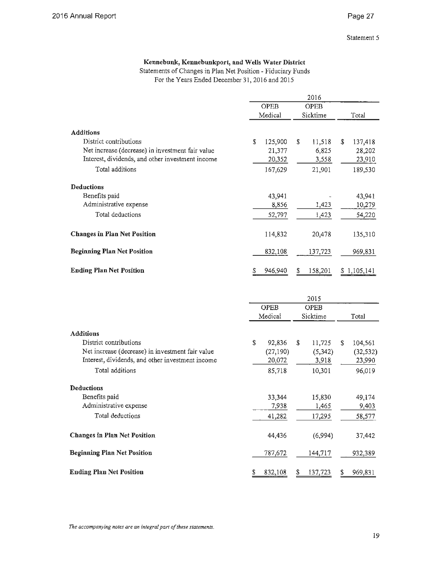### **Kennebunk, Kennebunkport, and Wells Water District**

Statements of Changes in Plan Net Position - Fiduciary Funds For the Years Ended December 31, 2016 and 2015

|                                                  | 2016         |              |               |  |  |
|--------------------------------------------------|--------------|--------------|---------------|--|--|
|                                                  | <b>OPEB</b>  | <b>OPEB</b>  |               |  |  |
|                                                  | Medical      | Sicktime     | Total         |  |  |
| <b>Additions</b>                                 |              |              |               |  |  |
| District contributions                           | S<br>125,900 | s<br>11,518  | \$<br>137,418 |  |  |
| Net increase (decrease) in investment fair value | 21,377       | 6,825        | 28,202        |  |  |
| Interest, dividends, and other investment income | 20,352       | 3,558        | 23,910        |  |  |
| Total additions                                  | 167,629      | 21,901       | 189,530       |  |  |
| <b>Deductions</b>                                |              |              |               |  |  |
| Benefits paid                                    | 43,941       |              | 43,941        |  |  |
| Administrative expense                           | 8,856        | 1,423        | 10,279        |  |  |
| Total deductions                                 | 52,797       | 1,423        | 54,220        |  |  |
| <b>Changes in Plan Net Position</b>              | 114,832      | 20,478       | 135,310       |  |  |
| <b>Beginning Plan Net Position</b>               | 832,108      | 137,723      | 969,831       |  |  |
| <b>Ending Plan Net Position</b>                  | 946,940<br>S | 158,201<br>S | \$1,105,141   |  |  |
|                                                  |              |              |               |  |  |
|                                                  |              | 2015         |               |  |  |
|                                                  | OPEB         | <b>OPEB</b>  |               |  |  |
|                                                  | Medical      | Sicktime     | Total         |  |  |
| <b>Additions</b>                                 |              |              |               |  |  |
| District contributions                           | \$<br>92,836 | \$<br>11,725 | \$<br>104,561 |  |  |
| Net increase (decrease) in investment fair value | (27, 190)    | (5, 342)     | (32, 532)     |  |  |
| Interest, dividends, and other investment income | 20,072       | 3,918        | 23,990        |  |  |
| Total additions                                  | 85,718       | 10,301       | 96,019        |  |  |
| <b>Deductions</b>                                |              |              |               |  |  |
| Benefits paid                                    | 33,344       | 15,830       | 49,174        |  |  |
| Administrative expense                           | 7,938        | 1,465        | 9,403         |  |  |
| Total deductions                                 | 41,282       | 17,295       | 58,577        |  |  |
| <b>Changes in Plan Net Position</b>              | 44,436       | (6,994)      | 37,442        |  |  |
| <b>Beginning Plan Net Position</b>               | 787,672      | 144,717      | 932,389       |  |  |

**Ending Plan Net Position** \$ 832,108 \$ 137,723 \$ 969,83 1

*The accompanying notes are an integral part of these statements.*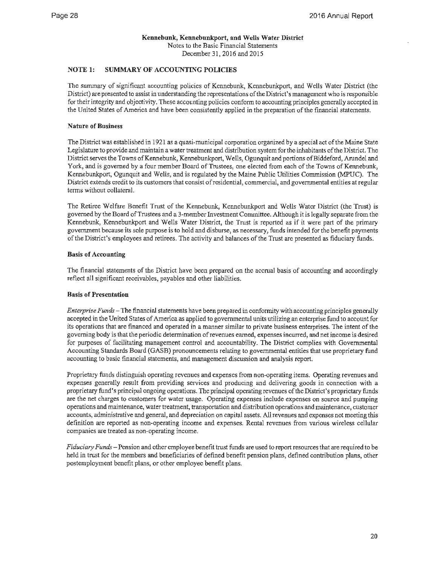### **NOTE 1: SUMMARY OF ACCOUNTING POLICIES**

The summary of significant accounting policies of Kennebunk, Kennebunkport, and Wells Water District (the District) are presented to assist in understanding the representations of the District's management who is responsible for their integrity and objectivity. These accounting policies conform to accounting principles generally accepted in the United States of America and have been consistently applied in the preparation of the financial statements.

### **Nature of Business**

The District was established in 1921 as a quasi-municipal corporation organized by a special act of the Maine State Legislature to provide and maintain a water treatment and distribution system for the inhabitants of the District. The District serves the Towns of Kennebunk, Kennebunkport, Wells, Ogunquit and portions of Biddeford, Arundel and York, and is governed by a four member Board of Trustees, one elected from each of the Towns of Kennebunk, Kennebunkport, Ogunquit and Wells, and is regulated by the Maine Public Utilities Commission (MPUC). The District extends credit to its customers that consist of residential, commercial, and governmental entities at regular terms without collateral.

The Retiree Welfare Benefit Trust of the Kennebunk, Kennebunkport and Wells Water District (the Trust) is governed by the Board of Trustees and a 3-member Investment Committee. Although it is legally separate from the Kennebunk, Kennebunkport and Wells Water District, the Trust is reported as if it were part of the primary government because its sole purpose is to hold and disburse, as necessary, funds intended for the benefit payments of the District's employees and retirees. The activity and balances of the Trust are presented as fiduciary funds.

### **Basis of Accounting**

The financial statements of the District have been prepared on the accrual basis of accounting and accordingly reflect all significant receivables, payables and other liabilities.

### **Basis of Presentation**

*Enterprise Funds* - The financial statements have been prepared in conformity with accounting principles generally accepted in the United States of America as applied to governmental units utilizing an enterprise fund to account for its operations that are financed and operated in a manner similar to private business enterprises. The intent of the governing body is that the periodic determination of revenues earned, expenses incurred, and net income is desired for purposes of facilitating management control and accountability. The District complies with Govenunental Accounting Standards Board (GASB) pronouncements relating to governmental entities that use proprietary fund accounting to basic financial statements, and management discussion and analysis report.

Proprietary funds distinguish operating revenues and expenses from non-operating items. Operating revenues and expenses generally result from providing services and producing and delivering goods in connection with a proprietary fund's principal ongoing operations. The principal operating revenues of the District's proprietary funds are the net charges to customers for water usage. Operating expenses include expenses on source and pumping operations and maintenance, water treatment, transportation and distribution operations and maintenance, customer accounts, administrative and general, and depreciation on capital assets. All revenues and expenses not meeting this definition are reported as non-operating income and expenses. Rental revenues from various wireless cellular companies are treated as non-operating income.

*Fiduciary Funds* - Pension and other employee benefit trust funds are used to report resources that are required to be held in trust for the members and beneficiaries of defined benefit pension plans, defined contribution plans, other postemployment benefit plans, or other employee benefit plans.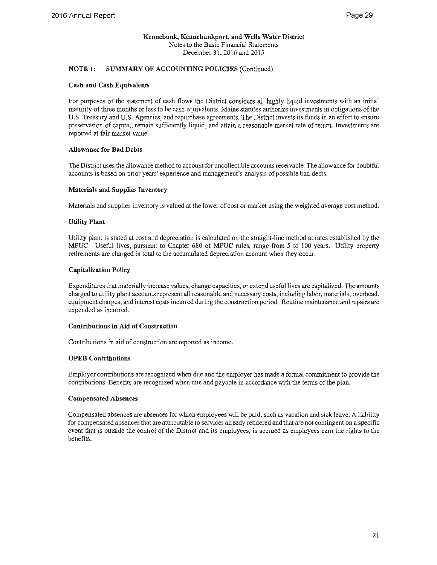### **NOTE 1: SUMMARY OF ACCOUNTING POLICIES** (Continued)

### **Cash and Cash Equivalents**

For purposes of the statement of cash flows the District considers all highly liquid investments with an initial maturity of three months or less to be cash equivalents. Maine statutes authorize investments in obligations of the U.S. Treasury and U.S. Agencies, and repurchase agreements. The District invests its funds in an effort to ensure preservation of capital, remain sufficiently liquid, and attain a reasonable market rate of return. Investments are reported at fair market value.

### **Allowance for Bad Debts**

The District uses the allowance method to account for uncollectible accounts receivable. The allowance for doubtful accounts is based on prior years' experience and management's analysis of possible bad debts.

### **Materials and Supplies Inventory**

Materials and supplies inventory is valued at the lower of cost or market using the weighted average cost method.

### **Utility Plant**

Utility plant is stated at cost and depreciation is calculated on the straight-line method at rates established by the MPUC. Useful lives, pursuant to Chapter 680 of MPUC rules, range from 5 to 100 years. Utility property retirements are charged in total to the accumulated depreciation account when they occur.

### **Capitalization Policy**

Expenditures that materially increase values, change capacities, or extend useful lives are capitalized. The amounts charged to utility plant accounts represent all reasonable and necessary costs, including labor, materials, overhead, equipment charges, and interest costs incurred during the construction period. Routine maintenance and repairs are expended as incurred.

### **Contributions** in **Aid of Construction**

Contributions in aid of construction are reported as income.

### **OPEB Contributions**

Employer contributions are recognized when due and the employer has made a formal commitment to provide the contributions. Benefits are recognized when due and payable in accordance with the terms of the plan.

### **Compensated Absences**

Compensated absences are absences for which employees will be paid, such as vacation and sick leave. A liability for compensated absences that are attributable to services already rendered and that are not contingent on a specific event that is outside the control of the District and its employees, is accrued as employees earn the rights to the benefits.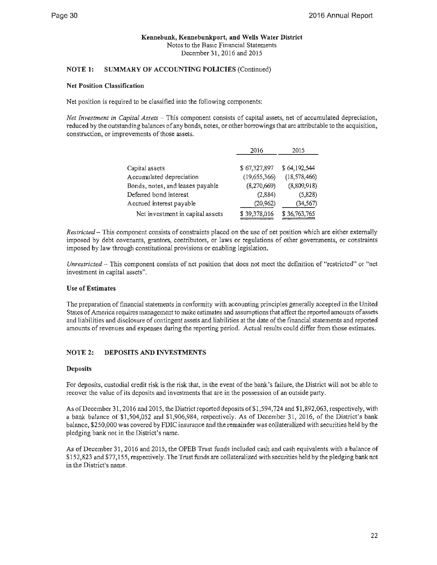### **NOTE I: SUMMARY OF ACCOUNTING POLICIES** (Continued)

### **Net Position Classification**

Net position is required to be classified into the following components:

*Net Investment in Capital Assets - This component consists of capital assets, net of accumulated depreciation,* reduced by the outstanding balances of any bonds, notes, or other borrowings that are attributable to the acquisition, construction, or improvements of those assets.

|                                  | 2016         | 2015           |
|----------------------------------|--------------|----------------|
|                                  |              |                |
| Capital assets                   | \$67,327,897 | \$64,192,544   |
| Accumulated depreciation         | (19,655,366) | (18, 578, 466) |
| Bonds, notes, and leases payable | (8,270,669)  | (8,809,918)    |
| Deferred bond interest           | (2,884)      | (5,828)        |
| Accrued interest payable         | (20, 962)    | (34,567)       |
| Net investment in capital assets | \$39,378,016 | \$36,763,765   |

*Restricted* - This component consists of constraints placed on the use of net position which are either externally imposed by debt covenants, grantors, contributors, or laws or regulations of other governments, or constraints imposed by law through constitutional provisions or enabling legislation.

*Unrestricted* - This component consists of net position that does not meet the definition of "restricted" or "net investment in capital assets".

### **Use of Estimates**

The preparation of financial statements in conformity with accounting principles generally accepted in the United States of America requires management to make estimates and assumptions that affect the reported amounts of assets and liabilities and disclosure of contingent assets and liabilities at the date of the financial statements and reported amounts of revenues and expenses during the reporting period. Actual results could differ from those estimates.

### **NOTE 2: DEPOSITS AND INVESTMENTS**

### **Deposits**

For deposits, custodial credit risk is the risk that, in the event of the bank's failure, the District will not be able to recover the value of its deposits and investments that are in the possession of an outside party.

As of December 31, 2016 and 2015, the District reported deposits of \$1,594,724 and \$1,892,063, respectively, with a bank balance of \$1,504,052 and \$1,906,984, respectively. As of December 31, 2016, of the District's bank balance, \$250,000 was covered by FDIC insurance and the remainder was collateralized with securities held by the pledging bank not in the District's name.

As of December 31, 2016 and 2015, the OPEB Trust funds included cash and cash equivalents with a balance of \$152,823 and \$77,155, respectively. The Trust funds are collateralized with securities held by the pledging bank not in the District's name.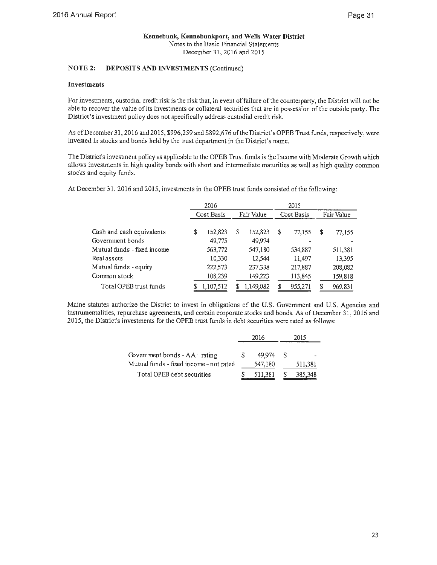### **NOTE 2: DEPOSITS AND INVESTMENTS** (Continued)

### **Investments**

For investments, custodial credit risk is the risk that, in event of failure of the counterparty, the District will not be able to recover the value of its investments or collateral securities that are in possession of the outside party. The District's investment policy does not specifically address custodial credit risk.

As of December 31, 2016 and 2015, \$996,259 and \$892,676 of the District's OPEB Trust funds, respectively, were invested in stocks and bonds held by the trust department in the District's name.

The District's investment policy as applicable to the OPEB Trust funds is the Income with Moderate Growth which allows investments in high quality bonds with short and intermediate maturities as well as high quality common stocks and equity funds.

At December 31, 2016 and 2015, investments in the OPEB trust funds consisted of the following:

|                             | 2016          |   |            |   | 2015       |    |            |
|-----------------------------|---------------|---|------------|---|------------|----|------------|
|                             | Cost Basis    |   | Fair Value |   | Cost Basis |    | Fair Value |
| Cash and cash equivalents   | \$<br>152,823 | S | 152,823    | S | 77,155     | \$ | 77,155     |
| Government bonds            | 49,775        |   | 49.974     |   |            |    |            |
| Mutual funds - fixed income | 563,772       |   | 547,180    |   | 534,887    |    | 511,381    |
| Real assets                 | 10,330        |   | 12,544     |   | 11,497     |    | 13,395     |
| Mutual funds - equity       | 222,573       |   | 237,338    |   | 217,887    |    | 208,082    |
| Common stock                | 108,239       |   | 149,223    |   | 113,845    |    | 159,818    |
| Total OPEB trust funds      | 1,107,512     |   | 1,149,082  |   | 955,271    | S  | 969,831    |

Maine statutes authorize the District to invest in obligations of the U.S. Government and U.S. Agencies and instrumentalities, repurchase agreements, and certain corporate stocks and bonds. As of December 31, 2016 and 2015, the District's investments for the OPEB trust funds in debt securities were rated as follows:

|                                         | 2016    |    | 2015    |  |  |
|-----------------------------------------|---------|----|---------|--|--|
|                                         |         |    |         |  |  |
| Government bonds - $AA+$ rating         | 49.974  | -S |         |  |  |
| Mutual funds - fixed income - not rated | 547,180 |    | 511,381 |  |  |
| Total OPEB debt securities              | 511,381 |    | 385,348 |  |  |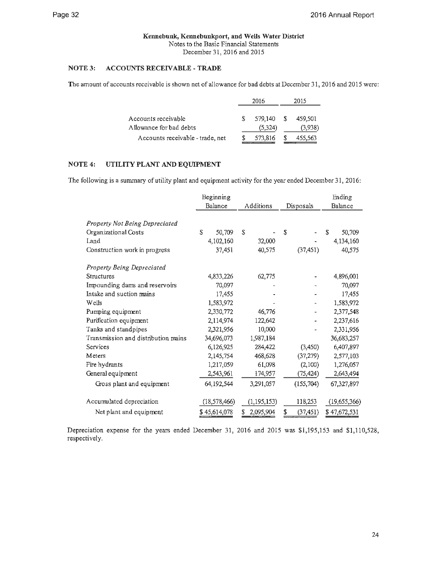### **Kennebunk, Kennebunkport, and Wells Water District**

Notes to the Basic Financial Statements

December 31, 2016 and 2015

### **NOTE 3: ACCOUNTS RECEIVABLE** - **TRADE**

The amount of accounts receivable is shown net of allowance for bad debts at December 31, 2016 and 2015 were:

|                                  |    | 2016    |    | 2015    |
|----------------------------------|----|---------|----|---------|
| Accounts receivable              | S. | 579.140 | -S | 459,501 |
| Allowance for bad debts          |    | (5.324) |    | (3,938) |
| Accounts receivable - trade, net |    | 573,816 |    | 455,563 |

### **NOTE4: UTILITY PLANT AND EQUIPMENT**

The following is a summary of utility plant and equipment activity for the year ended December 31, 2016:

|                                     | Beginning      |                |                 | Ending       |
|-------------------------------------|----------------|----------------|-----------------|--------------|
|                                     | Balance        | Additions      | Disposals       | Balance      |
|                                     |                |                |                 |              |
| Property Not Being Depreciated      |                |                |                 |              |
| Organizational Costs                | S<br>50,709    | S              | \$              | S<br>50,709  |
| Land                                | 4,102,160      | 32,000         |                 | 4,134,160    |
| Construction work in progress       | 37,451         | 40,575         | (37, 451)       | 40,575       |
| Property Being Depreciated          |                |                |                 |              |
| Structures                          | 4,833,226      | 62,775         |                 | 4,896,001    |
| Impounding dams and reservoirs      | 70,097         |                |                 | 70,097       |
| Intake and suction mains            | 17,455         |                |                 | 17,455       |
| Wells                               | 1,583,972      |                |                 | 1,583,972    |
| Pumping equipment                   | 2,330,772      | 46,776         |                 | 2,377,548    |
| Purification equipment              | 2,114,974      | 122,642        |                 | 2,237,616    |
| Tanks and standpipes                | 2,321,956      | 10,000         |                 | 2,331,956    |
| Transmission and distribution mains | 34,696,073     | 1,987,184      |                 | 36,683,257   |
| Services                            | 6,126,925      | 284,422        | (3,450)         | 6,407,897    |
| Meters                              | 2,145,754      | 468,628        | (37, 279)       | 2,577,103    |
| Fire hydrants                       | 1,217,059      | 61,098         | (2,100)         | 1,276,057    |
| General equipment                   | 2,543,961      | 174,957        | (75, 424)       | 2,643,494    |
| Gross plant and equipment           | 64, 192, 544   | 3,291,057      | (155, 704)      | 67,327,897   |
| Accumulated depreciation            | (18, 578, 466) | (1, 195, 153)  | 118,253         | (19,655,366) |
| Net plant and equipment             | \$45,614,078   | S<br>2,095,904 | \$<br>(37, 451) | \$47,672,531 |

Depreciation expense for the years ended December 31, 2016 and 2015 was \$1,195,153 and \$1,110,528, respectively.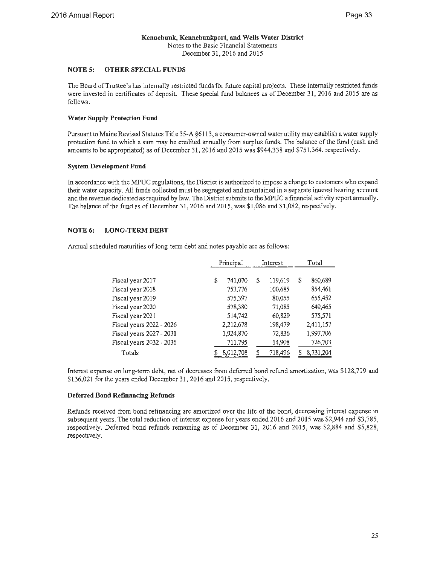### **NOTE 5: OTHER SPECIAL FUNDS**

The Board of Trustee's has internally restricted funds for future capital projects. These internally restricted funds were invested in certificates of deposit. These special fund balances as of December 31, 2016 and 2015 are as follows:

### **Water Supply Protection Fund**

Pursuant to Maine Revised Statutes Title 35-A §61 13, a consumer-owned water utility may establish a water supply protection fund to which a sum may be credited annually from surplus funds. The balance of the fund (cash and amounts to be appropriated) as of December 31, 2016 and 2015 was \$944,338 and \$751,364, respectively.

### **System Development Fund**

In accordance with the MPUC regulations, the District is authorized to impose a charge to customers who expand their water capacity. All funds collected must be segregated and maintained in a separate interest bearing account and the revenue dedicated as required by law. The District submits to the MPUC a financial activity report annually. The balance of the fund as of December 31, 2016 and 2015, was \$1,086 and \$1,082, respectively.

### **NOTE 6: LONG-TERM DEBT**

Annual scheduled maturities of long-term debt and notes payable are as follows:

|                          | Principal |           | Interest |         | Total         |
|--------------------------|-----------|-----------|----------|---------|---------------|
|                          |           |           |          |         |               |
| Fiscal year 2017         | \$        | 741,070   | \$       | 119,619 | \$<br>860,689 |
| Fiscal year 2018         |           | 753,776   |          | 100,685 | 854,461       |
| Fiscal year 2019         |           | 575,397   |          | 80.055  | 655,452       |
| Fiscal year 2020         |           | 578,380   |          | 71,085  | 649,465       |
| Fiscal year 2021         |           | 514,742   |          | 60,829  | 575,571       |
| Fiscal years 2022 - 2026 |           | 2,212,678 |          | 198,479 | 2,411,157     |
| Fiscal years 2027 - 2031 |           | 1,924,870 |          | 72,836  | 1,997,706     |
| Fiscal years 2032 - 2036 |           | 711,795   |          | 14,908  | 726,703       |
| Totals                   |           | 8,012,708 | S        | 718,496 | 8,731,204     |

Interest expense on long-term debt, net of decreases from deferred bond refund amortization, was \$128,719 and \$136,021 for the years ended December 31, 2016 and 2015, respectively.

### **Deferred Bond Refinancing Refunds**

Refunds received from bond refinancing are amortized over the life of the bond, decreasing interest expense in subsequent years. The total reduction of interest expense for years ended 2016 and 2015 was \$2,944 and \$3,785, respectively. Deferred bond refunds remaining as of December 31, 2016 and 2015, was \$2,884 and \$5,828, respectively.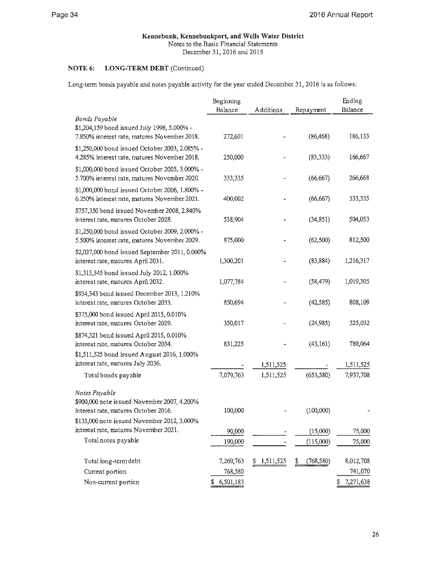### **Kennebunk, Kennebunkport, and Wells Water District**  Notes to the Basic Financial Statements

December 31, 2016 and 2015

### **NOTE 6: LONG-TERM DEBT (Continued)**

Long-tenn bonds payable and notes payable activity for the year ended December 31, 2016 is as follows:

|                                                                                                                                 | Beginning   |           |            | Ending          |
|---------------------------------------------------------------------------------------------------------------------------------|-------------|-----------|------------|-----------------|
|                                                                                                                                 | Balance     | Additions | Repayment  | Balance         |
| <b>Bonds Payable</b><br>\$1,204,159 bond issued July 1998, 5.000% -<br>7.850% interest rate, matures November 2018.             | 272,601     |           | (86, 468)  | 186,133         |
| \$1,250,000 bond issued October 2003, 2.085% -<br>4.285% interest rate, matures November 2018.                                  | 250,000     |           | (83, 333)  | 166,667         |
| \$1,000,000 bond issued October 2005, 3.000% -<br>5.700% interest rate, matures November 2020.                                  | 333,335     |           | (66, 667)  | 266,668         |
| \$1,000,000 bond issued October 2006, 1.800% -<br>6.250% interest rate, matures November 2021.                                  | 400,002     |           | (66, 667)  | 333,335         |
| \$757,350 bond issued November 2008, 2.840%<br>interest rate, matures October 2028.                                             | 538,904     |           | (34, 851)  | 504,053         |
| \$1,250,000 bond issued October 2009, 2.000% -<br>5.500% interest rate, matures November 2029.                                  | 875,000     |           | (62, 500)  | 812,500         |
| \$2,027,000 bond issued September 2011, 0.000%<br>interest rate, matures April 2031.                                            | 1,300,201   |           | (83, 884)  | 1,216,317       |
| \$1,315,545 bond issued July 2012, 1.000%<br>interest rate, matures April 2032.                                                 | 1,077,784   |           | (58, 479)  | 1,019,305       |
| \$934,343 bond issued December 2013, 1.210%<br>interest rate, matures October 2033.                                             | 850,694     |           | (42, 585)  | 808,109         |
| \$375,000 bond issued April 2015, 0.010%<br>interest rate, matures October 2029.                                                | 350,017     |           | (24, 985)  | 325,032         |
| \$874,321 bond issued April 2015, 0.010%<br>interest rate, matures October 2034.<br>\$1,511,525 bond issued August 2016, 1.000% | 831,225     |           | (43, 161)  | 788,064         |
| interest rate, matures July 2036.                                                                                               |             | 1,511,525 |            | 1,511,525       |
| Total bonds payable                                                                                                             | 7,079,763   | 1,511,525 | (653, 580) | 7,937,708       |
| Notes Payable<br>\$900,000 note issued November 2007, 4.200%<br>interest rate, matures October 2016.                            | 100,000     |           | (100,000)  |                 |
| \$135,000 note issued November 2012, 3.000%                                                                                     |             |           |            |                 |
| interest rate, matures November 2021.                                                                                           | 90,000      |           | (15,000)   | 75,000          |
| Total notes payable                                                                                                             | 190,000     |           | (115,000)  | 75,000          |
| Total long-term debt                                                                                                            | 7,269,763   | 1,511,525 | (768, 580) | 8,012,708       |
| Current portion                                                                                                                 | 768,580     |           |            | 741,070         |
| Non-current portion                                                                                                             | \$6,501,183 |           |            | 7,271,638<br>\$ |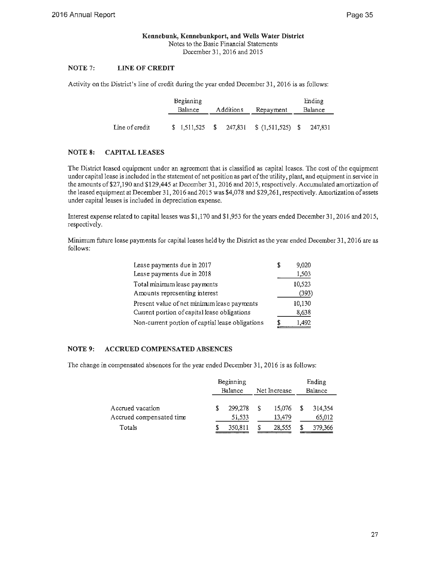#### **NOTE** 7: **LINE OF CREDIT**

Activity on the District's line of credit during the year ended December 31, 2016 is as follows:

|                | Beginning      |           |                                            | Ending  |
|----------------|----------------|-----------|--------------------------------------------|---------|
|                | <b>Balance</b> | Additions | Repayment                                  | Balance |
|                |                |           |                                            |         |
| Line of credit |                |           | $$1,511,525$ $$247,831$ $$(1,511,525)$ $$$ | 247.831 |

### **NOTE 8: CAPITAL LEASES**

The District leased equipment under an agreement that is classified as capital leases. The cost of the equipment under capital lease is included in the statement of net position as part of the utility, plant, and equipment in service in the amounts of\$27,190 and \$129,445 at December 31, 2016 and 2015, respectively. Accumulated amortization of the leased equipment at December 31, 2016 and 2015 was \$4,078 and \$29,261, respectively. Amortization of assets under capital leases is included in depreciation expense.

Interest expense related to capital leases was \$1,170 and \$1,953 for the years ended December 31, 2016 and 2015, respectively.

Minimum future lease payments for capital leases held by the District as the year ended December 31, 2016 are as follows:

| Lease payments due in 2017                       | S | 9,020  |
|--------------------------------------------------|---|--------|
| Lease payments due in 2018                       |   | 1,503  |
| Total minimum lease payments                     |   | 10.523 |
| Amounts representing interest                    |   | (393)  |
| Present value of net minimum lease payments      |   | 10,130 |
| Current portion of capital lease obligations     |   | 8,638  |
| Non-current portion of captial lease obligations |   | 1.492  |

### **NOTE 9: ACCRUED COMPENSATED ABSENCES**

The change in compensated absences for the year ended December 31, 2016 is as follows:

|                                              | Beginning<br>Balance |                   |   | Net Increase     | Ending<br>Balance |
|----------------------------------------------|----------------------|-------------------|---|------------------|-------------------|
| Accrued vacation<br>Accrued compensated time |                      | 299,278<br>51,533 | S | 15,076<br>13,479 | 314,354<br>65,012 |
| Totals                                       |                      | 350,811           |   | 28.555           | 379,366           |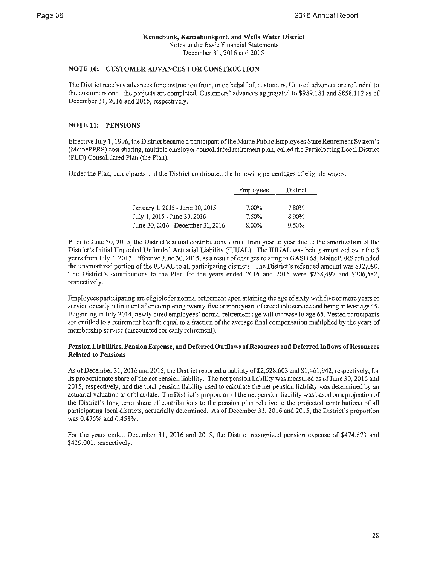### **Kennebunk, Kennebunkport, and Wells Water District**  Notes to the Basic Financial Statements

December 31, 2016 and 2015

### **NOTE 10: CUSTOMER ADVANCES FOR CONSTRUCTION**

The District receives advances for construction from, or on behalf of, customers. Unused advances are refunded to the customers once the projects are completed. Customers' advances aggregated to \$989,181 and \$858,112 as of December 31, 2016 and 2015, respectively.

### **NOTE 11: PENSIONS**

Effective July 1, 1996, the District became a participant of the Maine Public Employees State Retirement System's (MainePERS) cost sharing, multiple employer consolidated retirement plan, called the Participating Local District (PLD) Consolidated Plan (the Plan).

Under the Plan, participants and the District contributed the following percentages of eligible wages:

|                                   | Employees | District |  |
|-----------------------------------|-----------|----------|--|
|                                   |           |          |  |
| January 1, 2015 - June 30, 2015   | 7.00%     | 7.80%    |  |
| July 1, 2015 - June 30, 2016      | 7.50%     | 8.90%    |  |
| June 30, 2016 - December 31, 2016 | $8.00\%$  | 9.50%    |  |

Prior to June 30, 2015, the District's actual contributions varied from year to year due to the amortization of the District's Initial Unpooled Unfunded Actuarial Liability (IUUAL). The IUUAL was being amortized over the 3 years from July 1, 2013. Effective June 30, 2015, as a result of changes relating to GASB 68, MainePERS refunded the unamortized portion of the IUUAL to all participating districts. The District's refunded amount was \$12,080. The District's contributions to the Plan for the years ended 2016 and 2015 were \$238,497 and \$206,582, respectively.

Employees participating are eligible for normal retirement upon attaining the age of sixty with five or more years of service or early retirement after completing twenty-five or more years of creditable service and being at least age 45. Beginning in July 2014, newly hired employees' normal retirement age will increase to age 65. Vested participants are entitled to a retirement benefit equal to a fraction of the average final compensation multiplied by the years of membership service (discounted for early retirement).

### **Pension Liabilities, Pension Expense, and Deferred Outflows of Resources and Deferred Inflows of Resources Related to Pensions**

As of December 31, 2016 and 2015, the District reported a liability of \$2,528,603 and \$1,461,942, respectively, for its proportionate share of the net pension liability. The net pension liability was measured as of June 30, 2016 and 2015, respectively, and the total pension liability used to calculate the net pension liability was determined by an actuarial valuation as of that date. The District's proportion of the net pension liability was based on a projection of the District's long-term share of contributions to the pension plan relative to the projected contributions of all participating local districts, actuarially determined. As of December 31, 2016 and 2015, the District's proportion was 0.476% and 0.458%.

For the years ended December 31, 2016 and 2015, the District recognized pension expense of \$474,673 and \$419,001, respectively.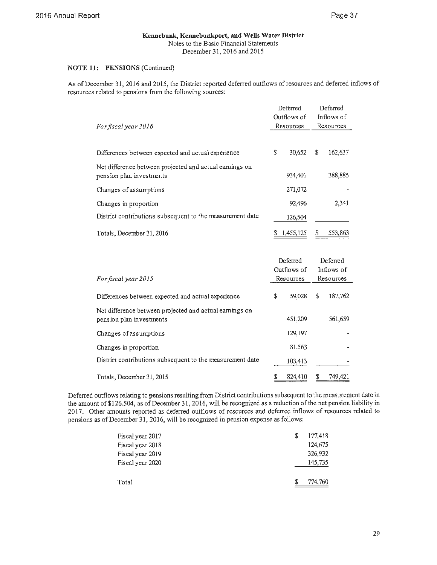### **NOTE 11: PENSIONS** (Continued)

As of December 31, 2016 and 2015, the District reported deferred outflows of resources and deferred inflows of resources related to pensions from the following sources:

|                                                                                     |   | Deferred<br>Outflows of<br>Resources |   | Deferred<br>Inflows of<br>Resources |
|-------------------------------------------------------------------------------------|---|--------------------------------------|---|-------------------------------------|
| For fiscal year 2016                                                                |   |                                      |   |                                     |
| Differences between expected and actual experience                                  | S | 30.652                               | S | 162,637                             |
| Net difference between projected and actual earnings on<br>pension plan investments |   | 934,401                              |   | 388,885                             |
| Changes of assumptions                                                              |   | 271,072                              |   |                                     |
| Changes in proportion                                                               |   | 92.496                               |   | 2,341                               |
| District contributions subsequent to the measurement date                           |   | 126,504                              |   |                                     |
| Totals, December 31, 2016                                                           |   | 1,455,125                            | S | 553,863                             |

|                                                                                     | Deferred |             | Deferred |            |
|-------------------------------------------------------------------------------------|----------|-------------|----------|------------|
|                                                                                     |          | Outflows of |          | Inflows of |
| For fiscal year 2015                                                                |          | Resources   |          | Resources  |
| Differences between expected and actual experience                                  | \$       | 59,028      | \$       | 187,762    |
| Net difference between projected and actual earnings on<br>pension plan investments |          | 451,209     |          | 561,659    |
| Changes of assumptions                                                              |          | 129,197     |          |            |
| Changes in proportion                                                               |          | 81,563      |          |            |
| District contributions subsequent to the measurement date                           |          | 103,413     |          |            |
| Totals, December 31, 2015                                                           |          | 824,410     |          | 749,421    |

Deferred outflows relating to pensions resulting from District contributions subsequent to the measurement date in the amount of\$126.504, as of December 31, 2016, will be recognized as a reduction of the net pension liability in 2017. Other amounts reported as deferred outflows of resources and deferred inflows of resources related to pensions as of December 31, 2016, will be recognized in pension expense as follows:

| Fiscal year 2017 | S | 177,418 |
|------------------|---|---------|
| Fiscal year 2018 |   | 124,675 |
| Fiscal year 2019 |   | 326,932 |
| Fiscal year 2020 |   | 145,735 |
|                  |   |         |
| Total            |   | 774,760 |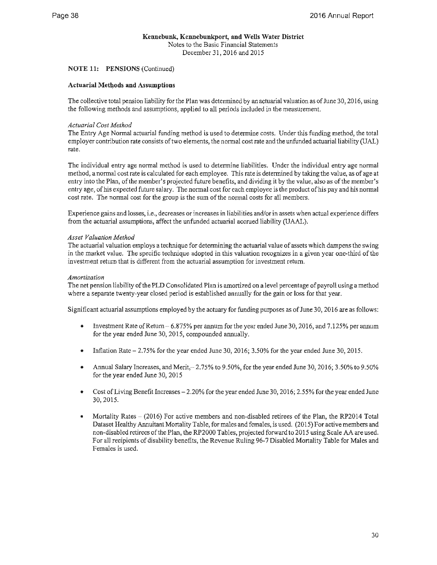### **NOTE 11: PENSIONS** (Continued)

### **Actuarial Methods and Assumptions**

The collective total pension liability for the Plan was determined by an actuarial valuation as of June 30, 2016, using the following methods and assumptions, applied to all periods included in the measurement.

### *Actuarial Cost Method*

The Entry Age Normal actuarial funding method is used to determine costs. Under this funding method, the total employer contribution rate consists of two elements, the normal cost rate and the unfunded actuarial liability (UAL) rate.

The individual entry age normal method is used to determine liabilities. Under the individual entry age normal method, a normal cost rate is calculated for each employee. This rate is determined by taking the value, as of age at entry into the Plan, of the member's projected future benefits, and dividing it by the value, also as of the member's entry age, of his expected future salary. The normal cost for each employee is the product of his pay and his normal cost rate. The normal cost for the group is the sum of the normal costs for all members.

Experience gains and losses, i.e., decreases or increases in liabilities and/or in assets when actual experience differs from the actuarial assumptions, affect the unfunded actuarial accrued liability (UAAL).

### *Asset Valuation Method*

The actuarial valuation employs a technique for determining the actuarial value of assets which dampens the swing in the market value. The specific technique adopted in this valuation recognizes in a given year one-third of the investment return that is different from the actuarial assumption for investment return.

### *Amortization*

The net pension liability of the PLD Consolidated Plan is amortized on a level percentage of payroll using a method where a separate twenty-year closed period is established annually for the gain or Joss for that year.

Significant actuarial assumptions employed by the actuary for funding purposes as of June 30, 2016 are as follows:

- Investment Rate of Return- 6.875% per annum for the year ended June 30, 2016, and 7.125% per annum for the year ended June 30, 2015, compounded annually.
- Inflation Rate  $-2.75\%$  for the year ended June 30, 2016; 3.50% for the year ended June 30, 2015.
- Annual Salary Increases, and Merit,-2.75% to 9.50%, for the year ended June 30, 2016; 3.50% to 9.50% for the year ended June 30, 2015
- Cost of Living Benefit Increases  $-2.20\%$  for the year ended June 30, 2016; 2.55% for the year ended June 30, 2015.
- Mortality Rates (2016) For active members and non-disabled retirees of the Plan, the RP2014 Total Dataset Healthy Annuitant Mortality Table, for males and females, is used. (2015) For active members and non-disabled retirees of the Plan, the RP2000 Tables, projected forward to 2015 using Scale AA are used. For all recipients of disability benefits, the Revenue Ruling 96-7 Disabled Mortality Table for Males and Females is used.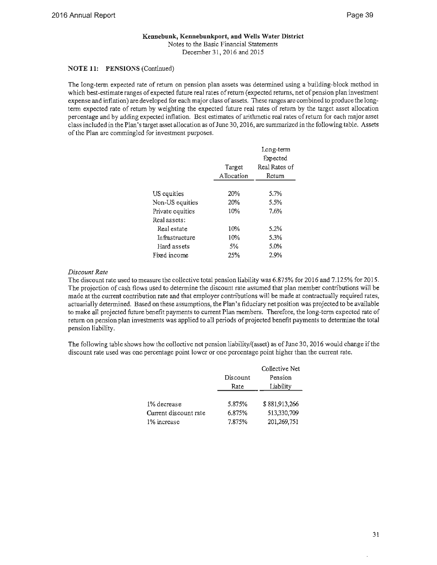### **Kennebunk, Kennebunkport, and Wells Water District**

Notes to the Basic Financial Statements December 31, 2016 and 2015

### **NOTE 11: PENSIONS** (Continued)

The long-term expected rate of return on pension plan assets was determined using a building-block method in which best-estimate ranges of expected future real rates of return (expected returns, net of pension plan investment expense and inflation) are developed for each major class of assets. These ranges are combined to produce the longterm expected rate of return by weighting the expected future real rates of return by the target asset allocation percentage and by adding expected inflation. Best estimates of arithmetic real rates of return for each major asset class included in the Plan's target asset allocation as ofJune 30, 2016, are summarized in the following table. Assets of the Plan are commingled for investment purposes.

|                  | Target<br>Allocation | Long-term<br>Expected<br>Real Rates of<br>Return |
|------------------|----------------------|--------------------------------------------------|
|                  |                      |                                                  |
| US equities      | 20%                  | 5.7%                                             |
| Non-US equities  | 20%                  | 5.5%                                             |
| Private equities | 10%                  | 7.6%                                             |
| Real assets:     |                      |                                                  |
| Real estate      | 10%                  | 5.2%                                             |
| Infrastructure   | 10%                  | 5.3%                                             |
| Hard assets      | 5%                   | 5.0%                                             |
| Fixed income     | 25%                  | 2.9%                                             |
|                  |                      |                                                  |

### *Discount Rate*

The discount rate used to measure the collective total pension liability was 6.875% for 2016 and 7.125% for 2015. The projection of cash flows used to determine the discount rate assumed that plan member contributions will be made at the current contribution rate and that employer contributions will be made at contractually required rates, actuarially determined. Based on these assumptions, the Plan's fiduciary net position was projected to be available to make all projected future benefit payments to current Plan members. Therefore, the long-term expected rate of return on pension plan investments was applied to all periods of projected benefit payments to determine the total pension liability.

The following table shows how the collective net pension liability/(asset) as of June 30, 2016 would change if the discount rate used was one percentage point lower or one percentage point higher than the current rate.

|                       |          | Collective Net |
|-----------------------|----------|----------------|
|                       | Discount | Pension        |
|                       | Rate     | Liability      |
|                       |          |                |
| 1% decrease           | 5.875%   | \$881,913,266  |
| Current discount rate | 6.875%   | 513,330,709    |
| 1% increase           | 7.875%   | 201,269,751    |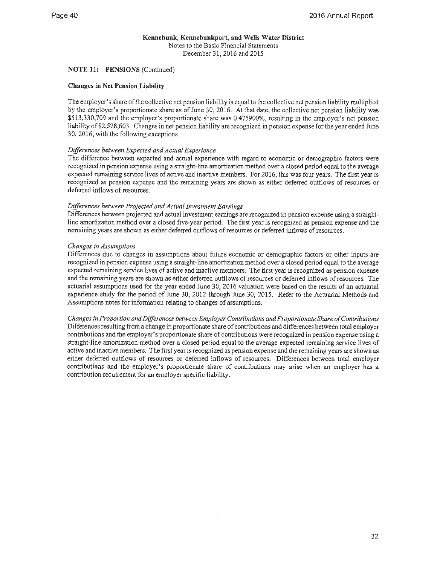### **NOTE 11: PENSIONS** (Continued)

### **Changes** in **Net Pension Liability**

The employer's share of the collective net pension liability is equal to the collective net pension liability multiplied by the employer's proportionate share as of June 30, 2016. At that date, the collective net pension liability was \$513,330,709 and the employer's proportionate share was 0.475900%, resulting in the employer's net pension liability of \$2,528,603. Changes in net pension liability are recognized in pension expense for the year ended June 30, 2016, with the following exceptions.

### *Differences between Expected and Actual Experience*

The difference between expected and actual experience with regard to economic or demographic factors were recognized in pension expense using a straight-line amortization method over a closed period equal to the average expected remaining service lives of active and inactive members. For 2016, this was four years. The first year is recognized as pension expense and the remaining years are shown as either deferred outflows of resources or deferred inflows of resources.

### *Differences between Projected and Actual Investment Earnings*

Differences between projected and actual investment earnings are recognized in pension expense using a straightline amortization method over a closed five-year period. The first year is recognized as pension expense and the remaining years are shown as either deferred outflows of resources or deferred inflows of resources.

### *Changes in Assumptions*

Differences due to changes in assumptions about future economic or demographic factors or other inputs are recognized in pension expense using a straight-line amortization method over a closed period equal to the average expected remaining service lives of active and inactive members. The first year is recognized as pension expense and the remaining years are shown as either deferred outflows of resources or deferred inflows of resources. The actuarial assumptions used for the year ended June 30, 2016 valuation were based on the results of an actuarial experience study for the period of June 30, 2012 through June 30, 2015. Refer to the Actuarial Methods and Assumptions notes for information relating to changes of assumptions.

*Changes in Proportion and Differences between Employer Contributions and Proportionate Share of Contributions*  Differences resulting from a change in proportionate share of contributions and differences between total employer contributions and the employer's proportionate share of contributions were recognized in pension expense using a straight-line amortization method over a closed period equal to the average expected remaining service lives of active and inactive members. The first year is recognized as pension expense and the remaining years are shown as either deferred outflows of resources or deferred inflows of resources. Differences between total employer contributions and the employer's proportionate share of contributions may arise when an employer has a contribution requirement for an employer specific liability.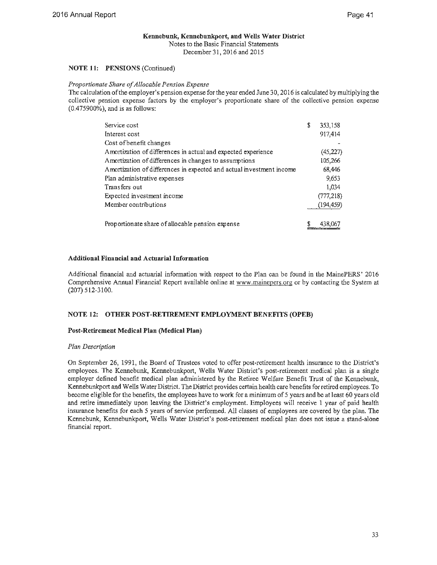### **Kennebunk, Kennebunkport, and Wells Water District**  Notes to the Basic Financial Statements

December 31, 2016 and 2015

### **NOTE 11: PENSIONS** (Continued)

### *Proportionate Share of Allocable Pension Expense*

The calculation of the employer's pension expense for the year ended June 30, 2016 is calculated by multiplying the collective pension expense factors by the employer's proportionate share of the collective pension expense (0.475900%), and is as follows:

| Service cost                                                         | \$<br>353,158 |
|----------------------------------------------------------------------|---------------|
| Interest cost                                                        | 917,414       |
| Cost of benefit changes                                              |               |
| Amortization of differences in actual and expected experience        | (45,227)      |
| Amortization of differences in changes to assumptions                | 105,266       |
| Amortization of differences in expected and actual investment income | 68,446        |
| Plan administrative expenses                                         | 9,653         |
| Transfers out                                                        | 1,034         |
| Expected investment income                                           | (777, 218)    |
| Member contributions                                                 | (194,459)     |
|                                                                      |               |
| Proportionate share of allocable pension expense                     | 438.          |

### **Additional Financial and Actuarial Information**

Additional financial and actuarial information with respect to the Plan can be found in the MainePERS' 2016 Comprehensive Annual Financial Report available online at www.mainepers.org or by contacting the System at (207) 512-3100.

### **NOTE 12: OTHER POST-RETIREMENT EMPLOYMENT BENEFITS (OPEB)**

### **Post-Retirement Medical Plan (Medical Plan)**

### *Plan Description*

On September 26, 1991, the Board of Trustees voted to offer post-retirement health insurance to the District's employees. The Kennebunk, Kennebunkport, Wells Water District's post-retirement medical plan is a single employer defined benefit medical plan administered by the Retiree Welfare Benefit Trust of the Kennebunk, Kennebunkport and Wells Water District. The District provides certain health care benefits for retired employees. To become eligible for the benefits, the employees have to work for a minimum of 5 years and be at least 60 years old and retire immediately upon leaving the District's employment. Employees will receive 1 year of paid health insurance benefits for each 5 years of service performed. All classes of employees are covered by the plan. The Kennebunk, Kennebunkport, Wells Water District's post-retirement medical plan does not issue a stand-alone financial report.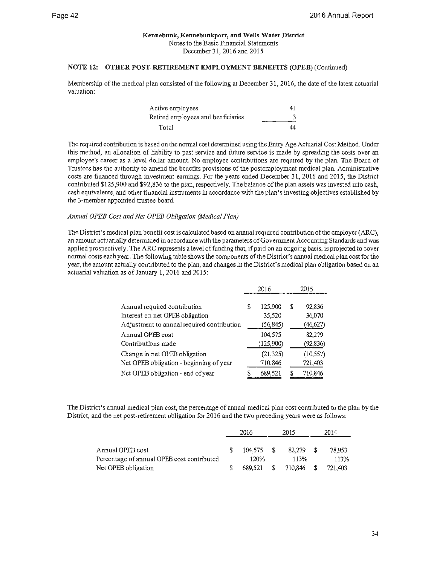### **NOTE 12: OTHER POST-RETIREMENT EMPLOYMENT BENEFITS (OPEB)** (Continued)

Membership of the medical plan consisted of the following at December 31, 2016, the date of the latest actuarial valuation:

| Active employees                   | 41 |
|------------------------------------|----|
| Retired employees and benficiaries |    |
| Total                              | 44 |

The required contribution is based on the normal cost determined using the Entry Age Actuarial Cost Method. Under this method, an allocation of liability to past service and future service is made by spreading the costs over an employee's career as a level dollar amount. No employee contributions are required by the plan. The Board of Trustees has the authority to amend the benefits provisions of the postemployment medical plan. Administrative costs are financed through investment earnings. For the years ended December 31, 2016 and 2015, the District contributed \$125,900 and \$92,836 to the plan, respectively. The balance of the plan assets was invested into cash, cash equivalents, and other financial instruments in accordance with the plan's investing objectives established by the 3-member appointed trustee board.

### *Annual OPEB Cost and Net OPEB Obligation (Medical Plan)*

The District's medical plan benefit cost is calculated based on annual required contribution of the employer (ARC), an amount actuarially determined in accordance with the parameters of Government Accounting Standards and was applied prospectively. The ARC represents a level of funding that, if paid on an ongoing basis, is projected to cover normal costs each year. The following table shows the components of the District's annual medical plan cost for the year, the amount actually contributed to the plan, and changes in the District's medical plan obligation based on an actuarial valuation as of January 1, 2016 and 2015:

|                                            | 2016 |           | 2015         |
|--------------------------------------------|------|-----------|--------------|
|                                            |      |           |              |
| Annual required contribution               | S    | 125,900   | \$<br>92,836 |
| Interest on net OPEB obligation            |      | 35,520    | 36,070       |
| Adjustment to annual required contribution |      | (56, 845) | (46,627)     |
| Annual OPEB cost                           |      | 104,575   | 82,279       |
| Contributions made                         |      | (125,900) | (92, 836)    |
| Change in net OPEB obligation              |      | (21, 325) | (10, 557)    |
| Net OPEB obligation - beginning of year    |      | 710,846   | 721,403      |
| Net OPEB obligation - end of year          |      | 689,521   | 710,846      |

The District's annual medical plan cost, the percentage of annual medical plan cost contributed to the plan by the District, and the net post-retirement obligation for 2016 and the two preceding years were as follows:

|                                            | 2016 |            | 2015 |         | 2014 |         |
|--------------------------------------------|------|------------|------|---------|------|---------|
|                                            |      |            |      |         |      |         |
| Annual OPEB cost                           |      | 104.575 \$ |      | 82.279  |      | 78.953  |
| Percentage of annual OPEB cost contributed |      | 120%       |      | 113%    |      | 113%    |
| Net OPEB obligation                        |      | 689.521    | -S   | 710,846 |      | 721,403 |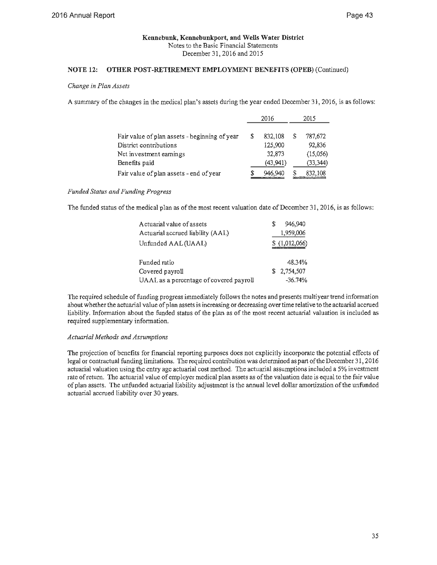### **NOTE 12: OTHER POST-RETIREMENT EMPLOYMENT BENEFITS (OPEB)** (Continued)

### *Change in Plan Assets*

A summary of the changes in the medical plan's assets during the year ended December 31, 2016, is as follows:

|                                               |   | 2016      |   | 2015      |
|-----------------------------------------------|---|-----------|---|-----------|
|                                               |   |           |   |           |
| Fair value of plan assets - beginning of year | S | 832,108   | S | 787,672   |
| District contributions                        |   | 125,900   |   | 92,836    |
| Net investment earnings                       |   | 32,873    |   | (15,056)  |
| Benefits paid                                 |   | (43, 941) |   | (33, 344) |
| Fair value of plan assets - end of year       | S | 946,940   | S | 832,108   |

### *Funded Status and Funding Progress*

The funded status of the medical plan as of the most recent valuation date of December 31, 2016, is as follows:

| A ctuarial value of assets              | 946.940       |
|-----------------------------------------|---------------|
| Actuarial accrued liability (AAL)       | 1,959,006     |
| Unfunded AAL (UAAL)                     | \$(1,012,066) |
| Funded ratio                            | 48.34%        |
| Covered payroll                         | \$2,754,507   |
| UAAL as a percentage of covered payroll | $-36.74\%$    |

The required schedule of funding progress immediately follows the notes and presents multiyear trend information about whether the actuarial value of plan assets is increasing or decreasing over time relative to the actuarial accrued liability. Information about the funded status of the plan as of the most recent actuarial valuation is included as required supplementary information.

### *Actuarial Methods and Assumptions*

The projection of benefits for financial reporting purposes does not explicitly incorporate the potential effects of legal or contractual funding limitations. The required contribution was determined as part of the December 31, 2016 actuarial valuation using the entry age actuarial cost method. The actuarial assumptions included a 5% investment rate of return. The actuarial value of employer medical plan assets as of the valuation date is equal to the fair value of plan assets. The unfunded actuarial liability adjustment is the annual level dollar amortization of the unfunded actuarial accrued liability over 30 years.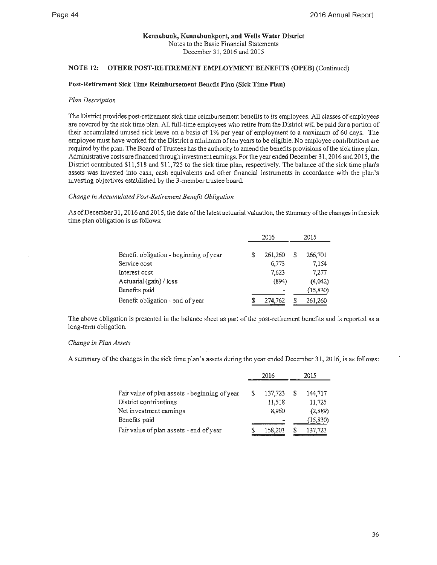### **NOTE 12: OTHER POST-RETIREMENT EMPLOYMENT BENEFITS (OPEB)** (Continued)

### **Post-Retirement Sick Time Reimbursement Benefit Plan (Sick Time Plan)**

### *Plan Description*

The District provides post-retirement sick time reimbursement benefits to its employees. All classes of employees are covered by the sick time plan. All full-time employees who retire from the District will be paid for a portion of their accumulated unused sick leave on a basis of **1** % per year of employment to a maximum of 60 days. The employee must have worked for the District a minimum often years to be eligible. No employee contributions are required by the plan. The Board of Trustees has the authority to amend the benefits provisions of the sick time plan. Administrative costs are financed through investment earnings. For the year ended December 31, 2016 and 2015, the District contributed \$11,518 and \$11,725 to the sick time plan, respectively. The balance of the sick time plan's assets was invested into cash, cash equivalents and other financial instruments in accordance with the plan's investing objectives established by the 3-member trustee board.

### *Change in Accumulated Post-Retirement Benefit Obligation*

As ofDecember 31, 2016 and 2015, the date of the latest actuarial valuation, the summary of the changes in the sick time plan obligation is as follows:

|                                        | 2016 |         |   | 2015      |
|----------------------------------------|------|---------|---|-----------|
| Benefit obligation - beginning of year | S    | 261,260 | S | 266,701   |
| Service cost                           |      | 6,773   |   | 7.154     |
| Interest cost                          |      | 7.623   |   | 7.277     |
| Actuarial (gain) / loss                |      | (894)   |   | (4,042)   |
| Benefits paid                          |      |         |   | (15, 830) |
| Benefit obligation - end of year       |      | 274,762 |   | 261,260   |

The above obligation is presented in the balance sheet as part of the post-retirement benefits and is reported as a long-term obligation.

### *Change in Plan Assets*

A summary of the changes in the sick time plan's assets during the year ended December 31, 2016, is as follows:

|                                               |   | 2016    | 2015 |           |  |
|-----------------------------------------------|---|---------|------|-----------|--|
|                                               |   |         |      |           |  |
| Fair value of plan assets - beginning of year | S | 137,723 | S    | 144,717   |  |
| District contributions                        |   | 11,518  |      | 11,725    |  |
| Net investment earnings                       |   | 8,960   |      | (2,889)   |  |
| Benefits paid                                 |   | -       |      | (15, 830) |  |
| Fair value of plan assets - end of year       |   | 158,201 | S    | 137,723   |  |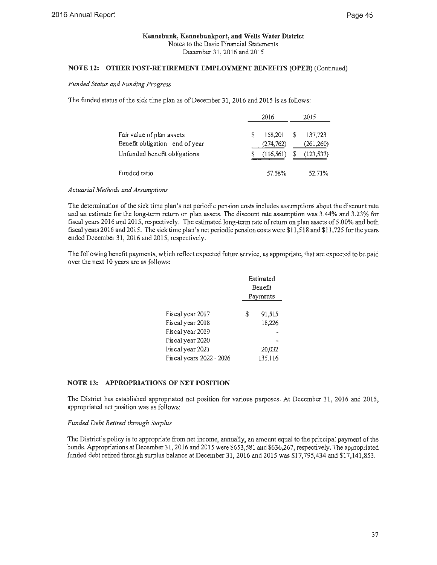### **NOTE 12: OTHER POST-RETIREMENT EMPLOYMENT BENEFITS (OPEB)** (Continued)

### *Funded Status and Funding Progress*

The funded status of the sick time plan as of December 31, 2016 and 2015 is as follows:

|                                                                                               | 2016 |                                     | 2015   |                                     |
|-----------------------------------------------------------------------------------------------|------|-------------------------------------|--------|-------------------------------------|
| Fair value of plan assets<br>Benefit obligation - end of year<br>Unfunded benefit obligations | S    | 158,201<br>(274, 762)<br>(116, 561) | S<br>S | 137,723<br>(261, 260)<br>(123, 537) |
| Funded ratio                                                                                  |      | 57.58%                              |        | 52.71%                              |

### *Actuarial Methods and Assumptions*

The determination of the sick time plan's net periodic pension costs includes assumptions about the discount rate and an estimate for the long-term return on plan assets. The discount rate assumption was 3.44% and 3.23% for fiscal years 2016 and 2015, respectively. The estimated long-term rate ofretum on plan assets of 5.00% and both fiscal years 2016 and 2015. The sick time plan's net periodic pension costs were \$11,518 and \$11,725 for the years ended December 31, 2016 and 2015, respectively.

The following benefit payments, which reflect expected future service, as appropriate, that are expected to be paid over the next 10 years are as follows:

|                          | Estimated<br>Benefit<br>Payments |         |  |
|--------------------------|----------------------------------|---------|--|
|                          |                                  |         |  |
| Fiscal year 2017         | \$                               | 91,515  |  |
| Fiscal year 2018         |                                  | 18,226  |  |
| Fiscal year 2019         |                                  |         |  |
| Fiscal year 2020         |                                  |         |  |
| Fiscal year 2021         |                                  | 20.032  |  |
| Fiscal years 2022 - 2026 |                                  | 135,116 |  |

### **NOTE 13: APPROPRIATIONS OF NET POSITION**

The District has established appropriated net position for various purposes. At December 31, 2016 and 2015, appropriated net position was as follows:

### *Funded Debt Retired through Surplus*

The District's policy is to appropriate from net income, annually, an amount equal to the principal payment of the bonds. Appropriations at December 31, 2016 and 2015 were \$653,581 and \$636,267, respectively. The appropriated funded debt retired through surplus balance at December 31, 2016 and 2015 was \$17,795,434 and \$17,141,853.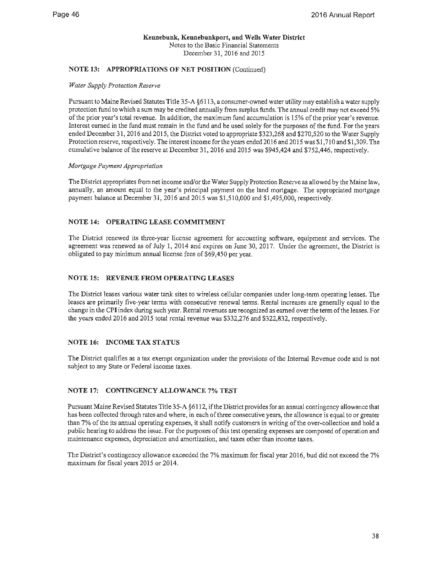### **NOTE 13: APPROPRIATIONS OF NET POSITION** (Continued)

### *Water Supply Protection Reserve*

Pursuant to Maine Revised Statutes Title 35-A §6113, a consumer-owned water utility may establish a water supply protection fund to which a sum may be credited annually from surplus funds. The annual credit may not exceed 5% of the prior year's total revenue. In addition, the maximum fund accumulation is 15% of the prior year's revenue. Interest earned in the fund must remain in the fund and be used solely for the purposes of the fund. For the years ended December 31, 2016 and 2015, the District voted to appropriate \$323,268 and \$270,520 to the Water Supply Protection reserve, respectively. The interest income for the years ended 2016 and 2015 was \$1,710 and \$1,309. The cumulative balance of the reserve at December 31, 2016 and 2015 was \$945,424 and \$752,446, respectively.

### *Mortgage Payment Appropriation*

The District appropriates from net income and/or the Water Supply Protection Reserve as allowed by the Maine law, annually, an amount equal to the year's principal payment on the land mortgage. The appropriated mortgage payment balance at December 31, 2016 and 2015 was \$1,510,000 and \$1,495,000, respectively.

### **NOTE 14: OPERATING LEASE COMMITMENT**

The District renewed its three-year license agreement for accounting software, equipment and services. The agreement was renewed as of July 1, 2014 and expires on June 30, 2017. Under the agreement, the District is obligated to pay minimum annual license fees of \$69,450 per year.

### **NOTE 15: REVENUE FROM OPERATING LEASES**

The District leases various water tank sites to wireless cellular companies under long-term operating leases. The leases are primarily five-year terms with consecutive renewal terms. Rental increases are generally equal to the change in the CPI index during such year. Rental revenues are recognized as earned over the term of the leases. For the years ended 2016 and 2015 total rental revenue was \$332,276 and \$322,832, respectively.

### **NOTE 16: INCOME TAX STATUS**

The District qualifies as a tax exempt organization under the provisions of the Internal Revenue code and is not subject to any State or Federal income taxes.

### **NOTE 17: CONTINGENCY ALLOWANCE** 7% **TEST**

Pursuant Maine Revised Statutes Title 35-A §6112, if the District provides for an annual contingency allowance that has been collected through rates and where, in each of three consecutive years, the allowance is equal to or greater than 7% of the its annual operating expenses, it shall notify customers in writing of the over-collection and hold a public hearing to address the issue. For the purposes of this test operating expenses are composed of operation and maintenance expenses, depreciation and amortization, and taxes other than income taxes.

The District's contingency allowance exceeded the 7% maximum for fiscal year 2016, bud did not exceed the 7% maximum for fiscal years 2015 or 2014.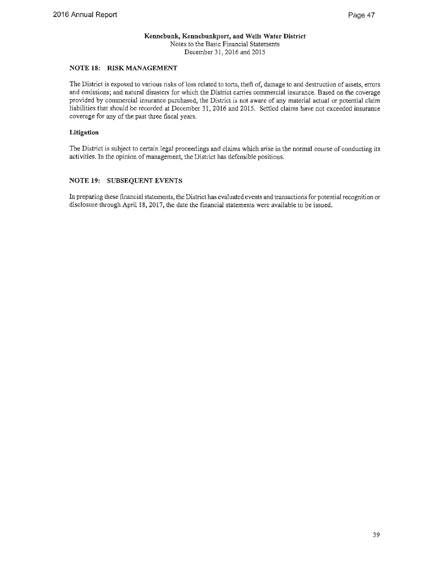### **NOTE 18: RISK MANAGEMENT**

The District is exposed to various risks of loss related to torts, theft of, damage to and destruction of assets, errors and omissions; and natural disasters for which the District carries commercial insurance. Based on the coverage provided by commercial insurance purchased, the District is not aware of any material actual or potential claim liabilities that should be recorded at December 31, 2016 and 2015. Settled claims have not exceeded insurance coverage for any of the past three fiscal years.

### **Litigation**

The District is subject to certain legal proceedings and claims which arise in the normal course of conducting its activities. In the opinion of management, the District has defensible positions.

### **NOTE 19: SUBSEQUENT EVENTS**

In preparing these financial statements, the District has evaluated events and transactions for potential recognition or disclosure through April 18, 2017, the date the financial statements were available to be issued.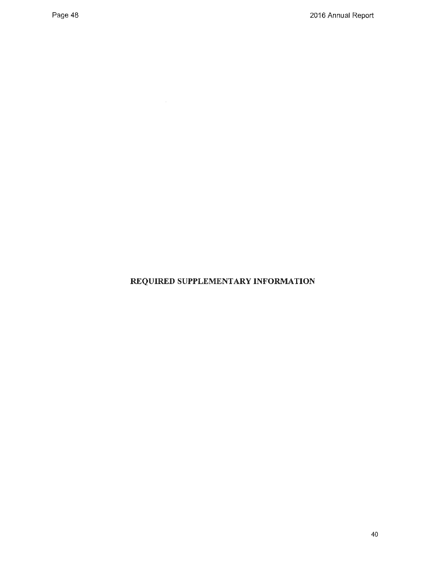## **REQUIRED SUPPLEMENTARY INFORMATION**

 $\mathcal{L}^{\text{max}}_{\text{max}}$  and  $\mathcal{L}^{\text{max}}_{\text{max}}$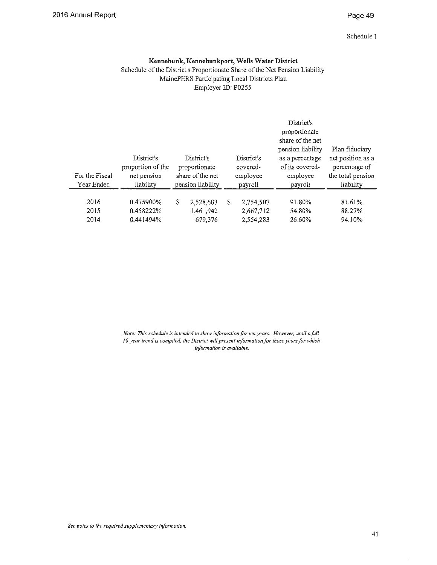### Page 49

Schedule 1

### **Kennebunk, Kennebunkport, Wells Water District**

Schedule of the District's Proportionate Share of the Net Pension Liability MainePERS Participating Local Districts Plan Employer ID: P0255

| For the Fiscal<br>Year Ended | District's<br>proportion of the<br>net pension<br>liability |   | District's<br>proportionate<br>share of the net<br>pension liability |   | District's<br>covered-<br>employee<br>payroll | District's<br>proportionate<br>share of the net<br>pension liability<br>as a percentage<br>of its covered-<br>employee<br>payroll | Plan fiduciary<br>net position as a<br>percentage of<br>the total pension<br>liability |
|------------------------------|-------------------------------------------------------------|---|----------------------------------------------------------------------|---|-----------------------------------------------|-----------------------------------------------------------------------------------------------------------------------------------|----------------------------------------------------------------------------------------|
| 2016                         | 0.475900%                                                   | S | 2,528,603                                                            | S | 2,754,507                                     | 91.80%                                                                                                                            | 81.61%                                                                                 |
| 2015<br>2014                 | 0.458222%<br>0.441494%                                      |   | 1,461,942<br>679.376                                                 |   | 2,667,712<br>2,554,283                        | 54.80%<br>26.60%                                                                                                                  | 88.27%<br>94.10%                                                                       |

*Note: This schedule is intended to show information for ten years. However, until a fall I 0-year trend is compiled, the District will present information for those years for which information is available.*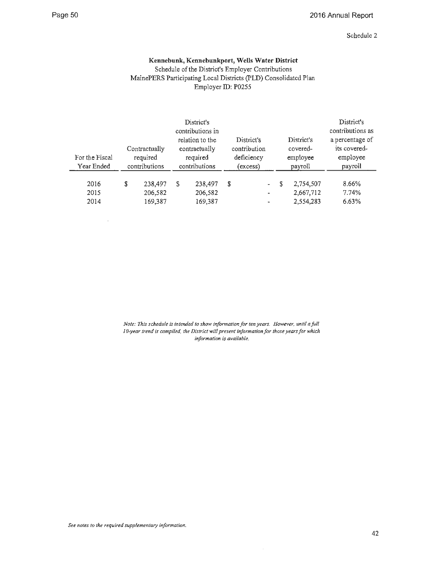### Schedule 2

### **Kennebunk, Kennebunkport, Wells Water District**

Schedule of the District's Employer Contributions MainePERS Participating Local Districts (PLD) Consolidated Plan Employer ID: P0255

| For the Fiscal<br>Year Ended |   | Contractually<br>required<br>contributions |   | District's<br>contributions in<br>relation to the<br>contractually<br>required<br>contributions | District's<br>contribution<br>deficiency<br>(excess) |                                                 | District's<br>covered-<br>employee<br>payroll |                                     | District's<br>contributions as<br>a percentage of<br>its covered-<br>employee<br>payroll |  |
|------------------------------|---|--------------------------------------------|---|-------------------------------------------------------------------------------------------------|------------------------------------------------------|-------------------------------------------------|-----------------------------------------------|-------------------------------------|------------------------------------------------------------------------------------------|--|
| 2016<br>2015<br>2014         | S | 238,497<br>206,582<br>169,387              | S | 238,497<br>206,582<br>169,387                                                                   | S                                                    | $\overline{\phantom{a}}$<br>$\blacksquare$<br>٠ | S                                             | 2,754,507<br>2,667,712<br>2,554,283 | 8.66%<br>7.74%<br>6.63%                                                                  |  |

*Note: This schedule is intended to show information for ten years. However, until a.fall JO-year trend is compiled, the District will present information for those years for which information is available.* 

 $\hat{\mathcal{A}}$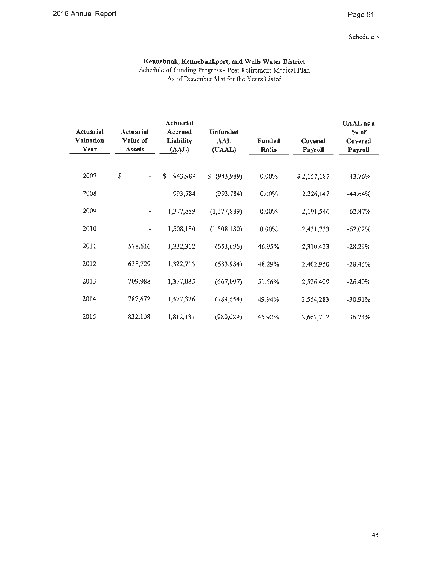### Page 51

### Schedule 3

### **Kennebunk, Kennebunkport, and Wells Water District**  Schedule of Funding Progress - Post Retirement Medical Plan As of December 31st for the Years Listed

| Actuarial<br><b>Valuation</b><br>Year | Actuarial<br>Value of<br><b>Assets</b> | Actuarial<br>Accrued<br><b>Liability</b><br>(AAL) | <b>Unfunded</b><br>AAL<br>(UAAL) | <b>Funded</b><br>Ratio | Covered<br>Payroll | UAAL as a<br>$%$ of<br>Covered<br>Payroll |
|---------------------------------------|----------------------------------------|---------------------------------------------------|----------------------------------|------------------------|--------------------|-------------------------------------------|
| 2007                                  | \$                                     | \$.<br>943,989                                    | \$<br>(943,989)                  | $0.00\%$               | \$2,157,187        | $-43.76%$                                 |
| 2008                                  |                                        | 993,784                                           | (993, 784)                       | 0.00%                  | 2,226,147          | $-44.64%$                                 |
| 2009                                  |                                        | 1,377,889                                         | (1,377,889)                      | 0.00%                  | 2,191,546          | $-62.87%$                                 |
| 2010                                  |                                        | 1,508,180                                         | (1,508,180)                      | $0.00\%$               | 2,431,733          | $-62.02%$                                 |
| 2011                                  | 578,616                                | 1,232,312                                         | (653, 696)                       | 46.95%                 | 2,310,423          | $-28.29%$                                 |
| 2012                                  | 638,729                                | 1,322,713                                         | (683,984)                        | 48.29%                 | 2,402,950          | $-28.46%$                                 |
| 2013                                  | 709,988                                | 1,377,085                                         | (667,097)                        | 51.56%                 | 2,526,409          | $-26.40%$                                 |
| 2014                                  | 787,672                                | 1,577,326                                         | (789, 654)                       | 49.94%                 | 2,554,283          | $-30.91%$                                 |
| 2015                                  | 832,108                                | 1,812,137                                         | (980,029)                        | 45.92%                 | 2,667,712          | $-36.74%$                                 |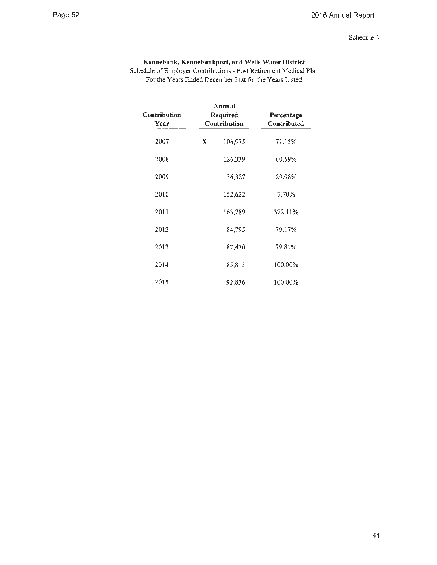### Schedule 4

### **Kennebunk, Kennebunkport, and Wells Water District**

Schedule of Employer Contributions - Post Retirement Medical Plan For the Years Ended December 31st for the Years Listed

| Contribution<br>Year | Annual<br>Required<br>Percentage<br>Contribution<br>Contributed |         |         |  |
|----------------------|-----------------------------------------------------------------|---------|---------|--|
| 2007                 | \$                                                              | 106,975 | 71.15%  |  |
| 2008                 |                                                                 | 126,339 | 60.59%  |  |
| 2009                 |                                                                 | 136,327 | 29.98%  |  |
| 2010                 |                                                                 | 152,622 | 7.70%   |  |
| 2011                 |                                                                 | 163,289 | 372.11% |  |
| 2012                 |                                                                 | 84,795  | 79.17%  |  |
| 2013                 |                                                                 | 87,470  | 79.81%  |  |
| 2014                 |                                                                 | 85,815  | 100.00% |  |
| 2015                 |                                                                 | 92,836  | 100.00% |  |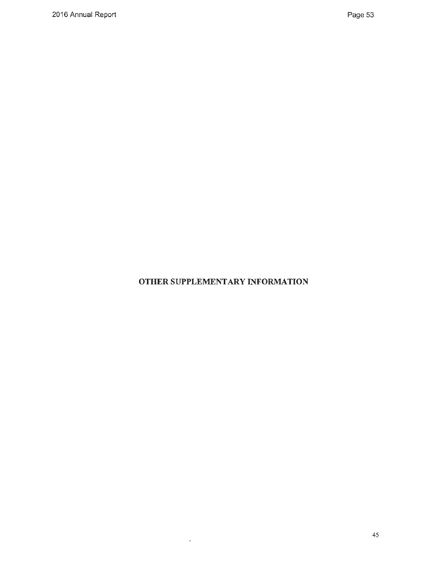**OTHER SUPPLEMENT ARY INFORMATION** 

 $\sim 80\%$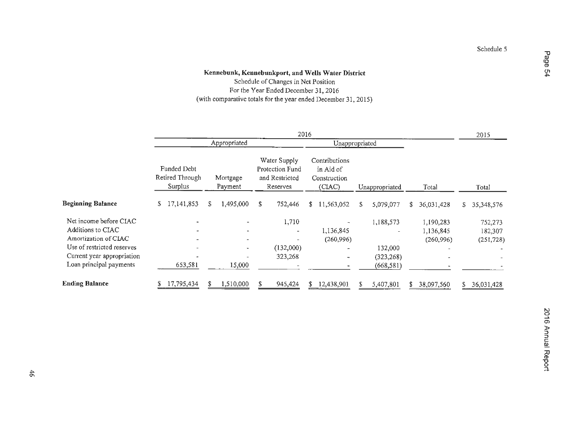Schedule of Changes in Net Position For the Year Ended December 31, 2016 (with comparative totals for the year ended December 31, 2015)

|                                                                                                   | 2016                                      |                                                              |                                                               |                                                                        |                                      |                                  |  |  |
|---------------------------------------------------------------------------------------------------|-------------------------------------------|--------------------------------------------------------------|---------------------------------------------------------------|------------------------------------------------------------------------|--------------------------------------|----------------------------------|--|--|
|                                                                                                   |                                           | Appropriated                                                 |                                                               | Unappropriated                                                         |                                      |                                  |  |  |
|                                                                                                   | Funded Debt<br>Retired Through<br>Surplus | Mortgage<br>Payment                                          | Water Supply<br>Protection Fund<br>and Restricted<br>Reserves | Contributions<br>in Aid of<br>Construction<br>(CIAC)<br>Unappropriated | Total                                | Total                            |  |  |
| <b>Beginning Balance</b>                                                                          | 17, 141, 853<br>S.                        | 1,495,000<br>S.                                              | 752,446<br>S                                                  | 11,563,052<br>5,079,077<br>\$<br>S.                                    | 36,031,428<br>\$                     | S<br>35,348,576                  |  |  |
| Net income before CIAC<br>Additions to CIAC<br>Amortization of CIAC<br>Use of restricted reserves |                                           | $\blacksquare$<br>$\blacksquare$<br>$\overline{\phantom{a}}$ | 1,710<br>(132,000)                                            | 1,188,573<br>1,136,845<br>(260,996)<br>132,000                         | 1,190,283<br>1,136,845<br>(260, 996) | 752,273<br>182,307<br>(251, 728) |  |  |
| Current year appropriation<br>Loan principal payments                                             | 653,581                                   | 15,000                                                       | 323,268                                                       | (323, 268)<br>÷<br>(668, 581)                                          |                                      |                                  |  |  |
| <b>Ending Balance</b>                                                                             | 17,795,434<br>æ.                          | 1,510,000                                                    | 945,424                                                       | 12,438,901<br>5,407,801                                                | 38,097,560                           | 36,031,428<br>S                  |  |  |

**Page 5**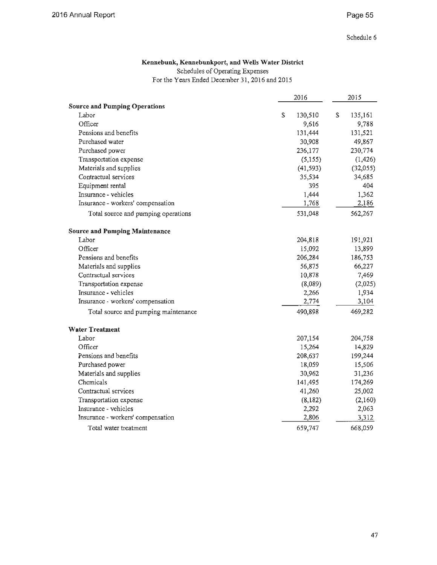### **Kennebunk, Kennebunkport, and Wells Water District**

Schedules of Operating Expenses

For the Years Ended December 31, 2016 and 2015

|                                       |   | 2016      | 2015          |
|---------------------------------------|---|-----------|---------------|
| <b>Source and Pumping Operations</b>  |   |           |               |
| Labor                                 | S | 130,510   | \$<br>135,161 |
| Officer                               |   | 9,616     | 9,788         |
| Pensions and benefits                 |   | 131,444   | 131,521       |
| Purchased water                       |   | 30,908    | 49,867        |
| Purchased power                       |   | 236,177   | 230,774       |
| Transportation expense                |   | (5, 155)  | (1, 426)      |
| Materials and supplies                |   | (41, 593) | (32,055)      |
| Contractual services                  |   | 35,534    | 34,685        |
| Equipment rental                      |   | 395       | 404           |
| Insurance - vehicles                  |   | 1,444     | 1,362         |
| Insurance - workers' compensation     |   | 1,768     | 2,186         |
| Total source and pumping operations   |   | 531,048   | 562,267       |
| <b>Source and Pumping Maintenance</b> |   |           |               |
| Labor                                 |   | 204,818   | 191,921       |
| Officer                               |   | 15,092    | 13,899        |
| Pensions and benefits                 |   | 206,284   | 186,753       |
| Materials and supplies                |   | 56,875    | 66,227        |
| Contractual services                  |   | 10,878    | 7,469         |
| Transportation expense                |   | (8,089)   | (2,025)       |
| Insurance - vehicles                  |   | 2,266     | 1,934         |
| Insurance - workers' compensation     |   | 2,774     | 3,104         |
| Total source and pumping maintenance  |   | 490,898   | 469,282       |
| <b>Water Treatment</b>                |   |           |               |
| Labor                                 |   | 207,154   | 204,758       |
| Officer                               |   | 15,264    | 14,829        |
| Pensions and benefits                 |   | 208,637   | 199,244       |
| Purchased power                       |   | 18,059    | 15,506        |
| Materials and supplies                |   | 30,962    | 31,236        |
| Chemicals                             |   | 141,495   | 174,269       |
| Contractual services                  |   | 41,260    | 25,002        |
| Transportation expense                |   | (8,182)   | (2,160)       |
| Insurance - vehicles                  |   | 2,292     | 2,063         |
| Insurance - workers' compensation     |   | 2,806     | 3,312         |
| Total water treatment                 |   | 659,747   | 668,059       |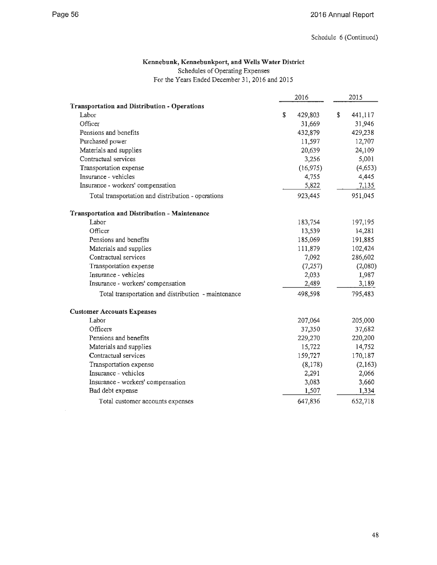$\hat{\mathcal{A}}$ 

### **Kennebunk, Kennebunkport, and Wells Water District**

Schedules of Operating Expenses

For the Years Ended December 31, 2016 and 2015

|                                                      | 2016          | 2015          |
|------------------------------------------------------|---------------|---------------|
| <b>Transportation and Distribution - Operations</b>  |               |               |
| Labor                                                | \$<br>429,803 | \$<br>441,117 |
| Officer                                              | 31,669        | 31,946        |
| Pensions and benefits                                | 432,879       | 429,238       |
| Purchased power                                      | 11,597        | 12,707        |
| Materials and supplies                               | 20,639        | 24,109        |
| Contractual services                                 | 3,256         | 5,001         |
| Transportation expense                               | (16, 975)     | (4,653)       |
| Insurance - vehicles                                 | 4,755         | 4,445         |
| Insurance - workers' compensation                    | 5,822         | 7,135         |
| Total transportation and distribution - operations   | 923,445       | 951,045       |
| <b>Transportation and Distribution - Maintenance</b> |               |               |
| Labor                                                | 183,754       | 197,195       |
| Officer                                              | 13,539        | 14,281        |
| Pensions and benefits                                | 185,069       | 191,885       |
| Materials and supplies                               | 111,879       | 102,424       |
| Contractual services                                 | 7,092         | 286,602       |
| Transportation expense                               | (7, 257)      | (2,080)       |
| Insurance - vehicles                                 | 2,033         | 1,987         |
| Insurance - workers' compensation                    | 2,489         | 3,189         |
| Total transportation and distribution - maintenance  | 498,598       | 795,483       |
| <b>Customer Accounts Expenses</b>                    |               |               |
| Labor                                                | 207,064       | 205,000       |
| Officers                                             | 37,350        | 37,682        |
| Pensions and benefits                                | 229,270       | 220,200       |
| Materials and supplies                               | 15,722        | 14,752        |
| Contractual services                                 | 159,727       | 170,187       |
| Transportation expense                               | (8,178)       | (2,163)       |
| Insurance - vehicles                                 | 2,291         | 2,066         |
| Insurance - workers' compensation                    | 3,083         | 3,660         |
| Bad debt expense                                     | 1,507         | 1,334         |
| Total customer accounts expenses                     | 647,836       | 652,718       |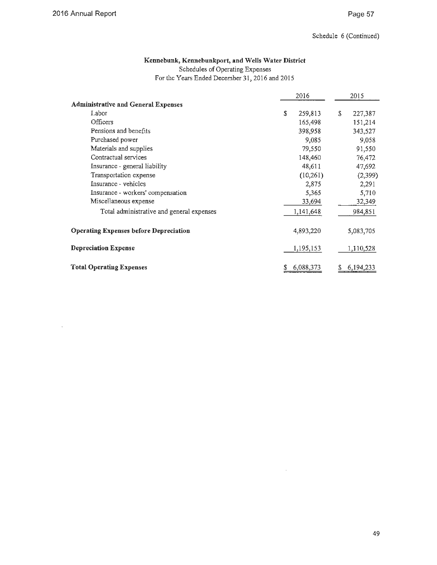$\hat{\mathcal{A}}$ 

### **Kennebunk, Kennebunkport, and Wells Water District**

Schedules of Operating Expenses

For the Years Ended December 31, 2016 and 2015

|                                               | 2016          |    | 2015      |  |
|-----------------------------------------------|---------------|----|-----------|--|
| <b>Administrative and General Expenses</b>    |               |    |           |  |
| Labor                                         | \$<br>259,813 | S. | 227,387   |  |
| Officers                                      | 165,498       |    | 151,214   |  |
| Pensions and benefits                         | 398,958       |    | 343,527   |  |
| Purchased power                               | 9,085         |    | 9,058     |  |
| Materials and supplies                        | 79,550        |    | 91,550    |  |
| Contractual services                          | 148,460       |    | 76,472    |  |
| Insurance - general liability                 | 48,611        |    | 47,692    |  |
| Transportation expense                        | (10,261)      |    | (2,399)   |  |
| Insurance - vehicles                          | 2,875         |    | 2,291     |  |
| Insurance - workers' compensation             | 5,365         |    | 5,710     |  |
| Miscellaneous expense                         | 33,694        |    | 32,349    |  |
| Total administrative and general expenses     | 1,141,648     |    | 984,851   |  |
| <b>Operating Expenses before Depreciation</b> | 4,893,220     |    | 5,083,705 |  |
| <b>Depreciation Expense</b>                   | 1,195,153     |    | 1,110,528 |  |
| <b>Total Operating Expenses</b>               | 6,088,373     | S  | 6,194,233 |  |

 $\bar{z}$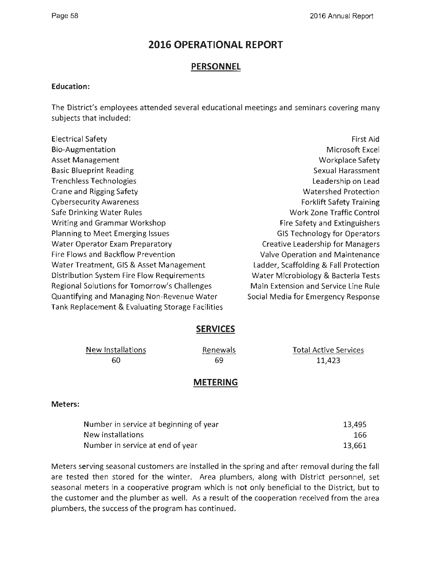### **2016 OPERATIONAL REPORT**

### **PERSONNEL**

### **Education:**

The District's employees attended several educational meetings and seminars covering many subjects that included:

| <b>Electrical Safety</b>                         | First Aid                               |
|--------------------------------------------------|-----------------------------------------|
| Bio-Augmentation                                 | Microsoft Excel                         |
| <b>Asset Management</b>                          | Workplace Safety                        |
| <b>Basic Blueprint Reading</b>                   | Sexual Harassment                       |
| <b>Trenchless Technologies</b>                   | Leadership on Lead                      |
| <b>Crane and Rigging Safety</b>                  | <b>Watershed Protection</b>             |
| <b>Cybersecurity Awareness</b>                   | <b>Forklift Safety Training</b>         |
| Safe Drinking Water Rules                        | <b>Work Zone Traffic Control</b>        |
| Writing and Grammar Workshop                     | Fire Safety and Extinguishers           |
| Planning to Meet Emerging Issues                 | <b>GIS Technology for Operators</b>     |
| <b>Water Operator Exam Preparatory</b>           | <b>Creative Leadership for Managers</b> |
| Fire Flows and Backflow Prevention               | Valve Operation and Maintenance         |
| Water Treatment, GIS & Asset Management          | Ladder, Scaffolding & Fall Protection   |
| Distribution System Fire Flow Requirements       | Water Microbiology & Bacteria Tests     |
| Regional Solutions for Tomorrow's Challenges     | Main Extension and Service Line Rule    |
| Quantifying and Managing Non-Revenue Water       | Social Media for Emergency Response     |
| Tank Replacement & Evaluating Storage Facilities |                                         |

### **SERVICES**

| New Installations | <b>Renewals</b> | <b>Total Active Services</b> |
|-------------------|-----------------|------------------------------|
| 60                | 69              | 11.423                       |

### **METERING**

### **Meters:**

| Number in service at beginning of year | 13,495 |
|----------------------------------------|--------|
| New installations                      | 166.   |
| Number in service at end of year       | 13,661 |

Meters serving seasonal customers are installed in the spring and after removal during the fall are tested then stored for the winter. Area plumbers, along with District personnel, set seasonal meters in a cooperative program which is not only beneficial to the District, but to the customer and the plumber as well. As a result of the cooperation received from the area plumbers, the success of the program has continued.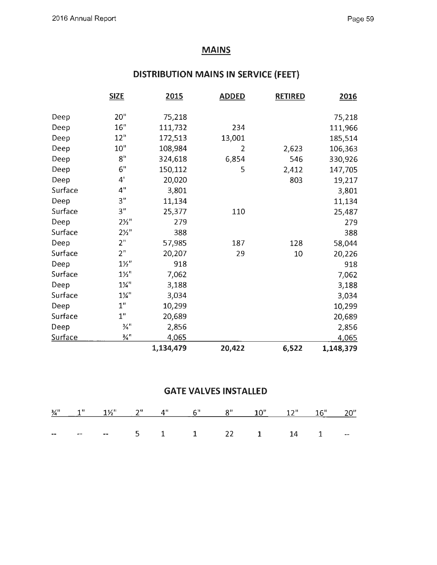### **MAINS**

## **DISTRIBUTION MAINS IN SERVICE (FEET)**

|                | <b>SIZE</b>                 | 2015      | <b>ADDED</b>   | <b>RETIRED</b> | 2016      |
|----------------|-----------------------------|-----------|----------------|----------------|-----------|
|                |                             |           |                |                |           |
| Deep           | 20"                         | 75,218    |                |                | 75,218    |
| Deep           | 16"                         | 111,732   | 234            |                | 111,966   |
| Deep           | 12"                         | 172,513   | 13,001         |                | 185,514   |
| Deep           | $10$ "                      | 108,984   | $\overline{2}$ | 2,623          | 106,363   |
| Deep           | $\mathbf{8}^{\mathrm{n}}$   | 324,618   | 6,854          | 546            | 330,926   |
| Deep           | 6"                          | 150,112   | 5              | 2,412          | 147,705   |
| Deep           | 4'                          | 20,020    |                | 803            | 19,217    |
| Surface        | 4"                          | 3,801     |                |                | 3,801     |
| Deep           | 3"                          | 11,134    |                |                | 11,134    |
| Surface        | 3"                          | 25,377    | 110            |                | 25,487    |
| Deep           | $2\frac{1}{2}$ "            | 279       |                |                | 279       |
| Surface        | $2\frac{1}{2}$              | 388       |                |                | 388       |
| Deep           | 2 <sup>n</sup>              | 57,985    | 187            | 128            | 58,044    |
| Surface        | 2 <sup>n</sup>              | 20,207    | 29             | 10             | 20,226    |
| Deep           | $1\frac{1}{2}$ "            | 918       |                |                | 918       |
| Surface        | $1\frac{1}{2}$              | 7,062     |                |                | 7,062     |
| Deep           | $1\frac{1}{4}$              | 3,188     |                |                | 3,188     |
| Surface        | $1\frac{1}{4}$              | 3,034     |                |                | 3,034     |
| Deep           | 1"                          | 10,299    |                |                | 10,299    |
| Surface        | 1"                          | 20,689    |                |                | 20,689    |
| Deep           | $\frac{3}{4}$ <sup>11</sup> | 2,856     |                |                | 2,856     |
| <b>Surface</b> | $\frac{3}{4}$ <sup>H</sup>  | 4,065     |                |                | 4,065     |
|                |                             | 1,134,479 | 20,422         | 6,522          | 1,148,379 |

### **GATE VALVES INSTALLED**

|  |  | $\frac{3}{4}$ " 1" 1'' 2" 4" 6" 8" 10" 12" 16" 20" |  |  |  |
|--|--|----------------------------------------------------|--|--|--|
|  |  |                                                    |  |  |  |
|  |  | $  -$ 5 1 1 22 1 14 1 $-$                          |  |  |  |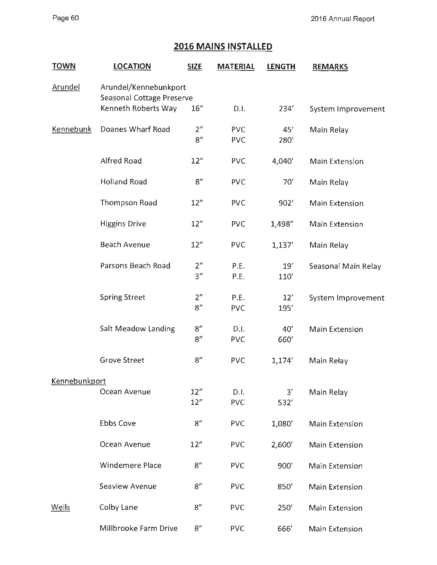### **2016 MAINS INSTALLED**

| <b>TOWN</b>          | <b>LOCATION</b>                                    | <b>SIZE</b>           | <b>MATERIAL</b>          | <b>LENGTH</b> | <b>REMARKS</b>        |  |
|----------------------|----------------------------------------------------|-----------------------|--------------------------|---------------|-----------------------|--|
| <b>Arundel</b>       | Arundel/Kennebunkport<br>Seasonal Cottage Preserve |                       |                          |               |                       |  |
|                      | Kenneth Roberts Way                                | 16''                  | D.I.                     | 234           | System Improvement    |  |
| <b>Kennebunk</b>     | Doanes Wharf Road                                  | 2 <sup>n</sup><br>8'' | <b>PVC</b><br><b>PVC</b> | 45'<br>280    | Main Relay            |  |
|                      | <b>Alfred Road</b>                                 | 12"                   | <b>PVC</b>               | 4,040'        | <b>Main Extension</b> |  |
|                      | <b>Holland Road</b>                                | 8''                   | <b>PVC</b>               | 70'           | Main Relay            |  |
|                      | <b>Thompson Road</b>                               | 12"                   | <b>PVC</b>               | 902'          | Main Extension        |  |
|                      | <b>Higgins Drive</b>                               | 12"                   | <b>PVC</b>               | 1,498"        | <b>Main Extension</b> |  |
|                      | <b>Beach Avenue</b>                                | 12"                   | <b>PVC</b>               | 1,137'        | Main Relay            |  |
|                      | Parsons Beach Road                                 | 2 <sup>n</sup><br>3"  | P.E.<br>P.E.             | 19'<br>110'   | Seasonal Main Relay   |  |
|                      | <b>Spring Street</b>                               | 2 <sup>n</sup><br>8"  | P.E.<br><b>PVC</b>       | 12'<br>195'   | System Improvement    |  |
|                      | <b>Salt Meadow Landing</b>                         | 8"<br>8''             | D.I.<br><b>PVC</b>       | 40'<br>660'   | <b>Main Extension</b> |  |
|                      | <b>Grove Street</b>                                | 8''                   | <b>PVC</b>               | 1,174'        | Main Relay            |  |
| <b>Kennebunkport</b> |                                                    |                       |                          |               |                       |  |
|                      | Ocean Avenue                                       | 12"<br>12"            | D.I.<br><b>PVC</b>       | 3'<br>532     | Main Relay            |  |
|                      | <b>Ebbs Cove</b>                                   | 8''                   | <b>PVC</b>               | 1,080'        | <b>Main Extension</b> |  |
|                      | Ocean Avenue                                       | 12"                   | <b>PVC</b>               | 2,600'        | <b>Main Extension</b> |  |
|                      | Windemere Place                                    | 8''                   | <b>PVC</b>               | 900'          | <b>Main Extension</b> |  |
|                      | Seaview Avenue                                     | 8''                   | <b>PVC</b>               | 850           | <b>Main Extension</b> |  |
| <b>Wells</b>         | Colby Lane                                         | 8 <sup>n</sup>        | <b>PVC</b>               | 250'          | <b>Main Extension</b> |  |
|                      | Millbrooke Farm Drive                              | 8"                    | <b>PVC</b>               | 666'          | Main Extension        |  |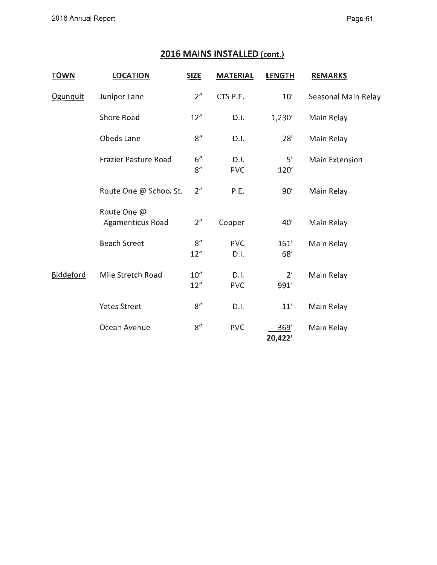### **2016 MAINS INSTALLED (cont.)**

| <b>TOWN</b> | <b>LOCATION</b>                 | <b>SIZE</b>    | <b>MATERIAL</b>    | <b>LENGTH</b>   | <b>REMARKS</b>        |
|-------------|---------------------------------|----------------|--------------------|-----------------|-----------------------|
| Ogunquit    | Juniper Lane                    | 2 <sup>n</sup> | CTS P.E.           | 10'             | Seasonal Main Relay   |
|             | <b>Shore Road</b>               | 12"            | D.I.               | 1,230'          | Main Relay            |
|             | Obeds Lane                      | 8"             | D.I.               | 28'             | Main Relay            |
|             | <b>Frazier Pasture Road</b>     | 6"<br>8"       | D.I.<br><b>PVC</b> | 5'<br>120'      | <b>Main Extension</b> |
|             | Route One @ School St.          | 2 <sup>n</sup> | P.E.               | 90'             | Main Relay            |
|             | Route One @<br>Agamenticus Road | 2 <sup>n</sup> | Copper             | 40'             | Main Relay            |
|             | <b>Beach Street</b>             | 8"<br>12''     | <b>PVC</b><br>D.I. | 161'<br>68'     | Main Relay            |
| Biddeford   | Mile Stretch Road               | 10''<br>12''   | D.I.<br><b>PVC</b> | 2'<br>991'      | Main Relay            |
|             | <b>Yates Street</b>             | 8"             | D.I.               | 11'             | Main Relay            |
|             | Ocean Avenue                    | 8''            | <b>PVC</b>         | 369'<br>20,422' | Main Relay            |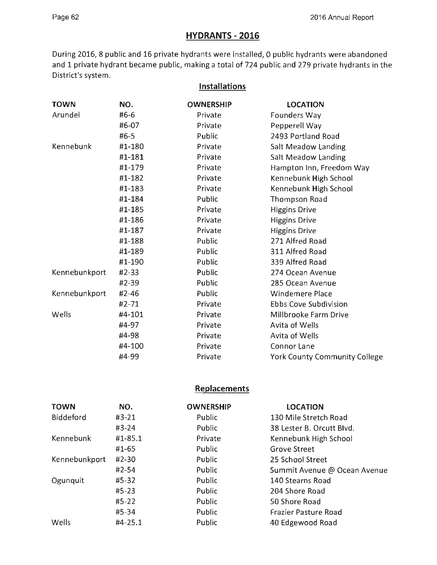### **HYDRANTS - 2016**

During 2016, 8 public and 16 private hydrants were installed, O public hydrants were abandoned and 1 private hydrant became public, making a total of 724 public and 279 private hydrants in the District's system.

**Installations** 

| <b>TOWN</b>   | NO.       | <b>OWNERSHIP</b> | <b>LOCATION</b>                      |
|---------------|-----------|------------------|--------------------------------------|
| Arundel       | #6-6      | Private          | Founders Way                         |
|               | #6-07     | Private          | Pepperell Way                        |
|               | $#6-5$    | Public           | 2493 Portland Road                   |
| Kennebunk     | #1-180    | Private          | Salt Meadow Landing                  |
|               | #1-181    | Private          | <b>Salt Meadow Landing</b>           |
|               | #1-179    | Private          | Hampton Inn, Freedom Way             |
|               | #1-182    | Private          | Kennebunk High School                |
|               | #1-183    | Private          | Kennebunk High School                |
|               | #1-184    | Public           | <b>Thompson Road</b>                 |
|               | #1-185    | Private          | <b>Higgins Drive</b>                 |
|               | #1-186    | Private          | <b>Higgins Drive</b>                 |
|               | #1-187    | Private          | <b>Higgins Drive</b>                 |
|               | #1-188    | Public           | 271 Alfred Road                      |
|               | #1-189    | Public           | 311 Alfred Road                      |
|               | #1-190    | Public           | 339 Alfred Road                      |
| Kennebunkport | $#2-33$   | Public           | 274 Ocean Avenue                     |
|               | #2-39     | Public           | 285 Ocean Avenue                     |
| Kennebunkport | $#2 - 46$ | Public           | Windemere Place                      |
|               | #2-71     | Private          | <b>Ebbs Cove Subdivision</b>         |
| Wells         | #4-101    | Private          | Millbrooke Farm Drive                |
|               | #4-97     | Private          | Avita of Wells                       |
|               | #4-98     | Private          | Avita of Wells                       |
|               | #4-100    | Private          | Connor Lane                          |
|               | #4-99     | Private          | <b>York County Community College</b> |

### **Replacements**

| <b>TOWN</b>      | NO.       | <b>OWNERSHIP</b> | <b>LOCATION</b>              |
|------------------|-----------|------------------|------------------------------|
| <b>Biddeford</b> | $#3-21$   | Public           | 130 Mile Stretch Road        |
|                  | #3-24     | Public           | 38 Lester B. Orcutt Blvd.    |
| Kennebunk        | #1-85.1   | Private          | Kennebunk High School        |
|                  | #1-65     | Public           | <b>Grove Street</b>          |
| Kennebunkport    | #2-30     | Public           | 25 School Street             |
|                  | $#2 - 54$ | Public           | Summit Avenue @ Ocean Avenue |
| Ogunquit         | #5-32     | Public           | 140 Stearns Road             |
|                  | $#5 - 23$ | Public           | 204 Shore Road               |
|                  | $#5-22$   | Public           | 50 Shore Road                |
|                  | #5-34     | Public           | <b>Frazier Pasture Road</b>  |
| Wells            | #4-25.1   | Public           | 40 Edgewood Road             |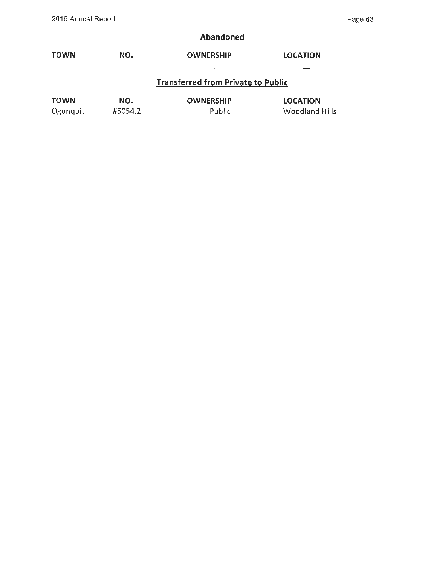### **Abandoned**

| <b>TOWN</b> | NO.     | <b>OWNERSHIP</b>                          | <b>LOCATION</b>       |
|-------------|---------|-------------------------------------------|-----------------------|
|             |         |                                           |                       |
|             |         | <b>Transferred from Private to Public</b> |                       |
| <b>TOWN</b> | NO.     | <b>OWNERSHIP</b>                          | <b>LOCATION</b>       |
| Ogunquit    | #5054.2 | Public                                    | <b>Woodland Hills</b> |